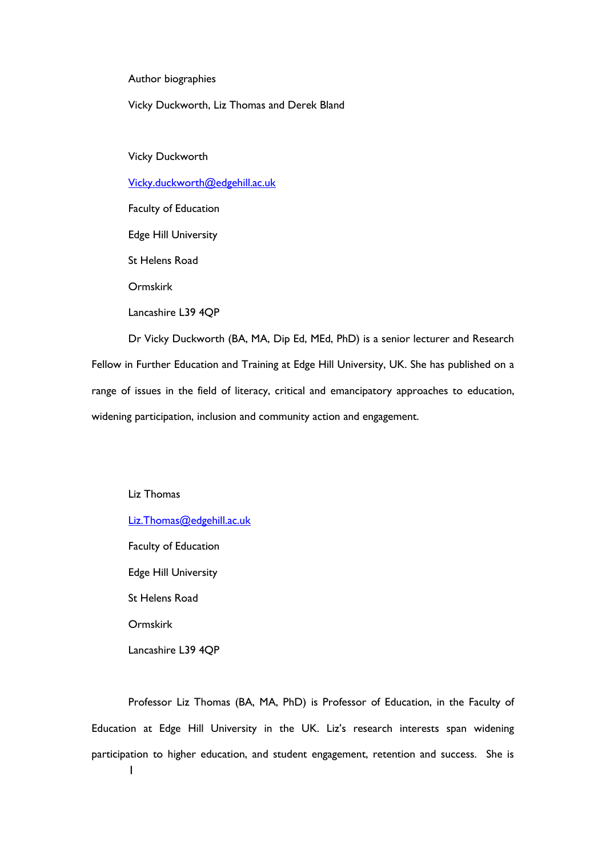Author biographies

Vicky Duckworth, Liz Thomas and Derek Bland

Vicky Duckworth

[Vicky.duckworth@edgehill.ac.uk](mailto:Vicky.duckworth@edgehill.ac.uk)

Faculty of Education

Edge Hill University

St Helens Road

Ormskirk

Lancashire L39 4QP

Dr Vicky Duckworth (BA, MA, Dip Ed, MEd, PhD) is a senior lecturer and Research Fellow in Further Education and Training at Edge Hill University, UK. She has published on a range of issues in the field of literacy, critical and emancipatory approaches to education, widening participation, inclusion and community action and engagement.

Liz Thomas [Liz.Thomas@edgehill.ac.uk](mailto:Liz.Thomas@edgehill.ac.uk)

Faculty of Education

Edge Hill University

St Helens Road

Ormskirk

Lancashire L39 4QP

1 Professor Liz Thomas (BA, MA, PhD) is Professor of Education, in the Faculty of Education at Edge Hill University in the UK. Liz's research interests span widening participation to higher education, and student engagement, retention and success. She is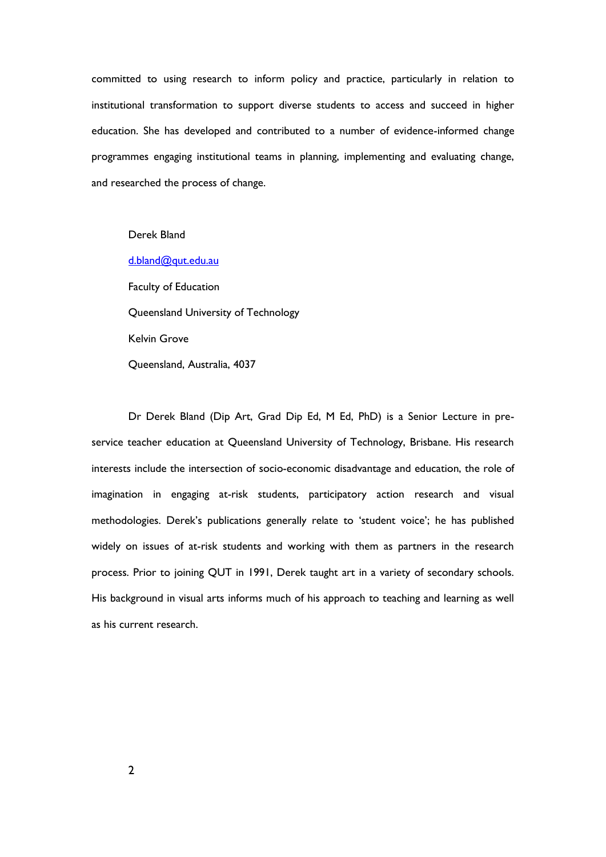committed to using research to inform policy and practice, particularly in relation to institutional transformation to support diverse students to access and succeed in higher education. She has developed and contributed to a number of evidence-informed change programmes engaging institutional teams in planning, implementing and evaluating change, and researched the process of change.

Derek Bland

[d.bland@qut.edu.au](mailto:d.bland@qut.edu.au)

Faculty of Education Queensland University of Technology Kelvin Grove Queensland, Australia, 4037

Dr Derek Bland (Dip Art, Grad Dip Ed, M Ed, PhD) is a Senior Lecture in preservice teacher education at Queensland University of Technology, Brisbane. His research interests include the intersection of socio-economic disadvantage and education, the role of imagination in engaging at-risk students, participatory action research and visual methodologies. Derek's publications generally relate to 'student voice'; he has published widely on issues of at-risk students and working with them as partners in the research process. Prior to joining QUT in 1991, Derek taught art in a variety of secondary schools. His background in visual arts informs much of his approach to teaching and learning as well as his current research.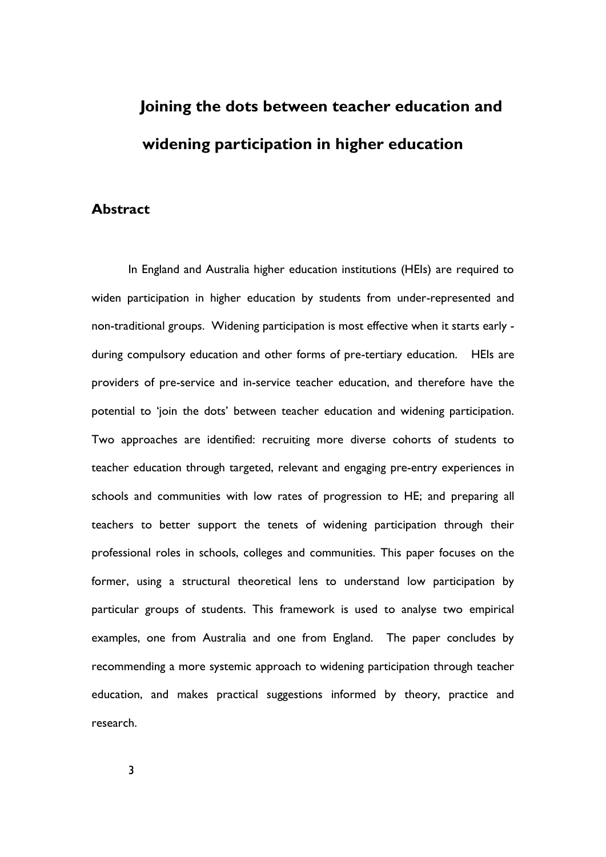# **Joining the dots between teacher education and widening participation in higher education**

## **Abstract**

In England and Australia higher education institutions (HEIs) are required to widen participation in higher education by students from under-represented and non-traditional groups. Widening participation is most effective when it starts early during compulsory education and other forms of pre-tertiary education. HEIs are providers of pre-service and in-service teacher education, and therefore have the potential to 'join the dots' between teacher education and widening participation. Two approaches are identified: recruiting more diverse cohorts of students to teacher education through targeted, relevant and engaging pre-entry experiences in schools and communities with low rates of progression to HE; and preparing all teachers to better support the tenets of widening participation through their professional roles in schools, colleges and communities. This paper focuses on the former, using a structural theoretical lens to understand low participation by particular groups of students. This framework is used to analyse two empirical examples, one from Australia and one from England. The paper concludes by recommending a more systemic approach to widening participation through teacher education, and makes practical suggestions informed by theory, practice and research.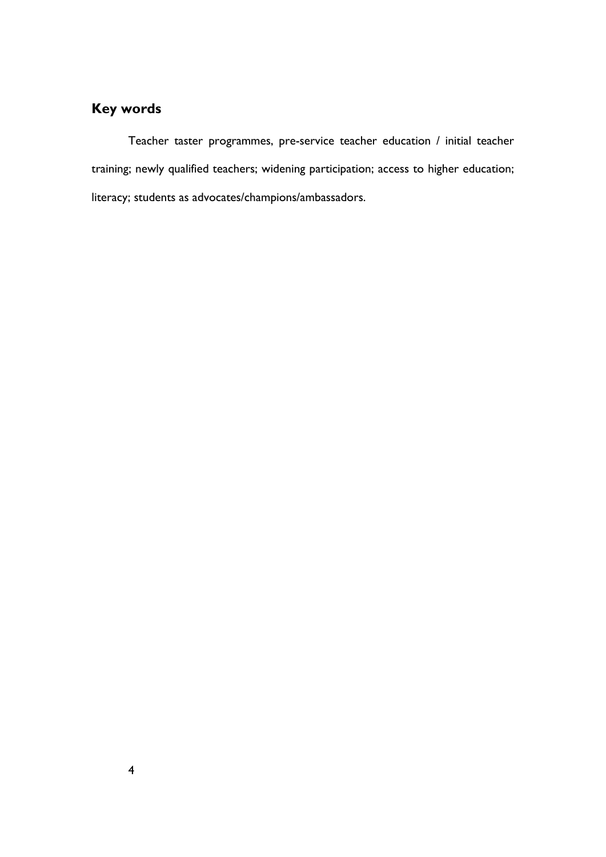## **Key words**

Teacher taster programmes, pre-service teacher education / initial teacher training; newly qualified teachers; widening participation; access to higher education; literacy; students as advocates/champions/ambassadors.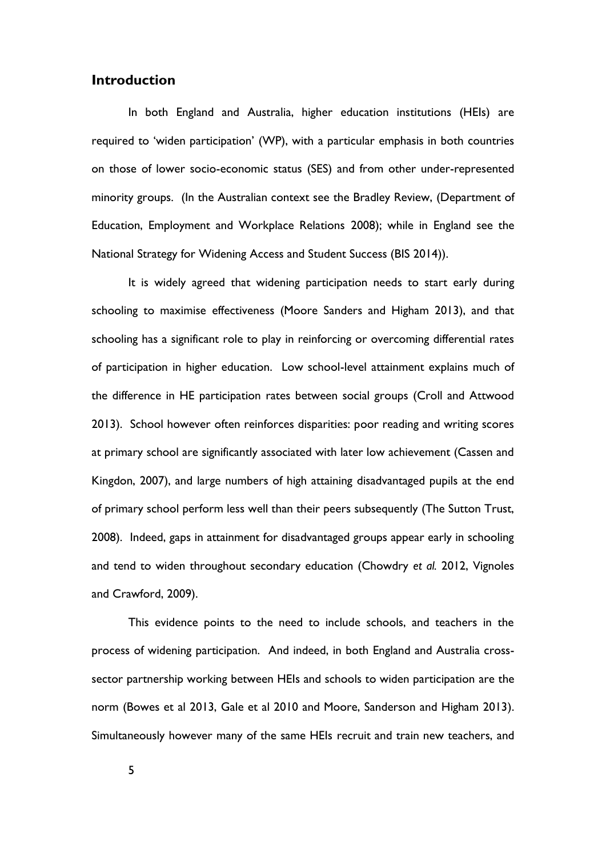## **Introduction**

In both England and Australia, higher education institutions (HEIs) are required to 'widen participation' (WP), with a particular emphasis in both countries on those of lower socio-economic status (SES) and from other under-represented minority groups. (In the Australian context see the Bradley Review, (Department of Education, Employment and Workplace Relations 2008); while in England see the National Strategy for Widening Access and Student Success (BIS 2014)).

It is widely agreed that widening participation needs to start early during schooling to maximise effectiveness (Moore Sanders and Higham 2013), and that schooling has a significant role to play in reinforcing or overcoming differential rates of participation in higher education. Low school-level attainment explains much of the difference in HE participation rates between social groups (Croll and Attwood 2013). School however often reinforces disparities: poor reading and writing scores at primary school are significantly associated with later low achievement (Cassen and Kingdon, 2007), and large numbers of high attaining disadvantaged pupils at the end of primary school perform less well than their peers subsequently (The Sutton Trust, 2008). Indeed, gaps in attainment for disadvantaged groups appear early in schooling and tend to widen throughout secondary education (Chowdry *et al.* 2012, Vignoles and Crawford, 2009).

This evidence points to the need to include schools, and teachers in the process of widening participation. And indeed, in both England and Australia crosssector partnership working between HEIs and schools to widen participation are the norm (Bowes et al 2013, Gale et al 2010 and Moore, Sanderson and Higham 2013). Simultaneously however many of the same HEIs recruit and train new teachers, and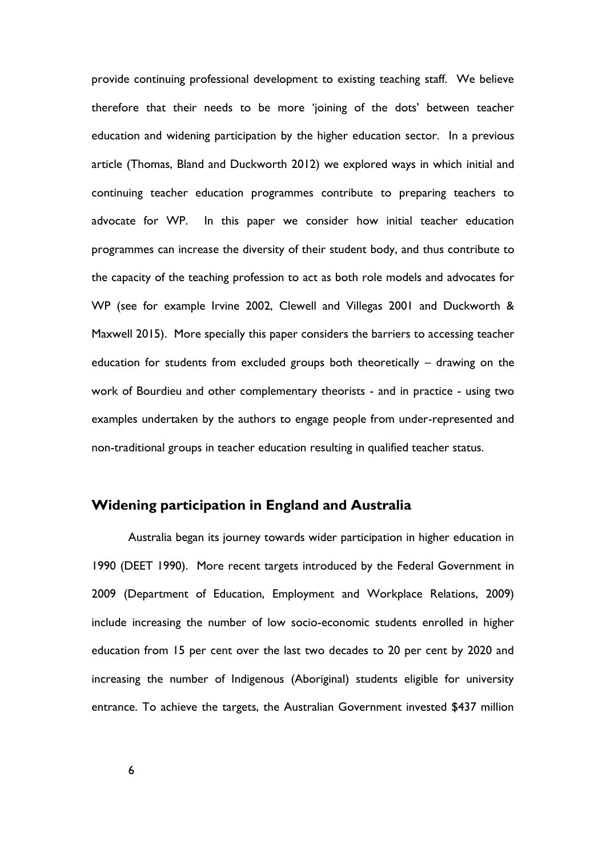provide continuing professional development to existing teaching staff. We believe therefore that their needs to be more 'joining of the dots' between teacher education and widening participation by the higher education sector. In a previous article (Thomas, Bland and Duckworth 2012) we explored ways in which initial and continuing teacher education programmes contribute to preparing teachers to advocate for WP. In this paper we consider how initial teacher education programmes can increase the diversity of their student body, and thus contribute to the capacity of the teaching profession to act as both role models and advocates for WP (see for example Irvine 2002, Clewell and Villegas 2001 and Duckworth & Maxwell 2015). More specially this paper considers the barriers to accessing teacher education for students from excluded groups both theoretically – drawing on the work of Bourdieu and other complementary theorists - and in practice - using two examples undertaken by the authors to engage people from under-represented and non-traditional groups in teacher education resulting in qualified teacher status.

## **Widening participation in England and Australia**

Australia began its journey towards wider participation in higher education in 1990 (DEET 1990). More recent targets introduced by the Federal Government in 2009 (Department of Education, Employment and Workplace Relations, 2009) include increasing the number of low socio-economic students enrolled in higher education from 15 per cent over the last two decades to 20 per cent by 2020 and increasing the number of Indigenous (Aboriginal) students eligible for university entrance. To achieve the targets, the Australian Government invested \$437 million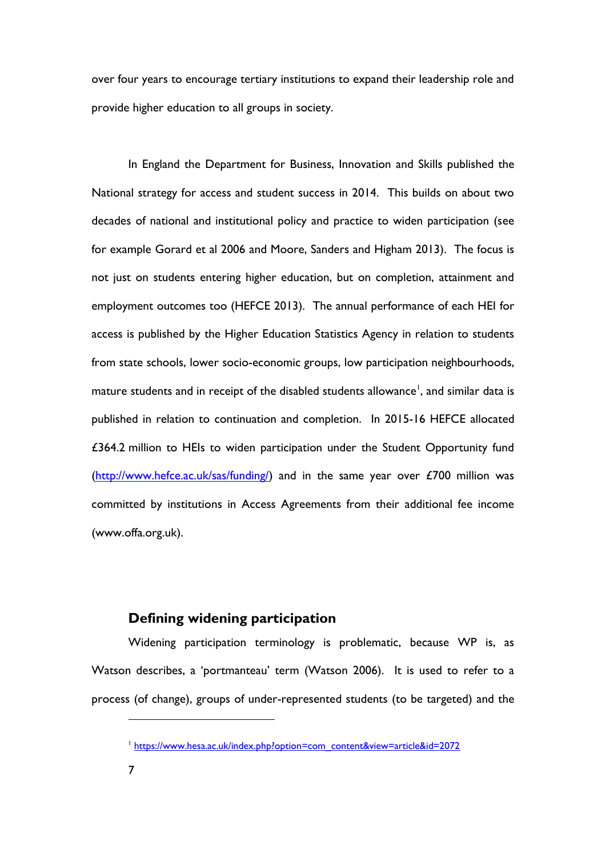over four years to encourage tertiary institutions to expand their leadership role and provide higher education to all groups in society.

In England the Department for Business, Innovation and Skills published the National strategy for access and student success in 2014. This builds on about two decades of national and institutional policy and practice to widen participation (see for example Gorard et al 2006 and Moore, Sanders and Higham 2013). The focus is not just on students entering higher education, but on completion, attainment and employment outcomes too (HEFCE 2013). The annual performance of each HEI for access is published by the Higher Education Statistics Agency in relation to students from state schools, lower socio-economic groups, low participation neighbourhoods, mature students and in receipt of the disabled students allowance<sup>1</sup>, and similar data is published in relation to continuation and completion. In 2015-16 HEFCE allocated £364.2 million to HEIs to widen participation under the Student Opportunity fund [\(http://www.hefce.ac.uk/sas/funding/\)](http://www.hefce.ac.uk/sas/funding/) and in the same year over £700 million was committed by institutions in Access Agreements from their additional fee income (www.offa.org.uk).

## **Defining widening participation**

Widening participation terminology is problematic, because WP is, as Watson describes, a 'portmanteau' term (Watson 2006). It is used to refer to a process (of change), groups of under-represented students (to be targeted) and the

<sup>&</sup>lt;sup>1</sup> [https://www.hesa.ac.uk/index.php?option=com\\_content&view=article&id=2072](https://www.hesa.ac.uk/index.php?option=com_content&view=article&id=2072)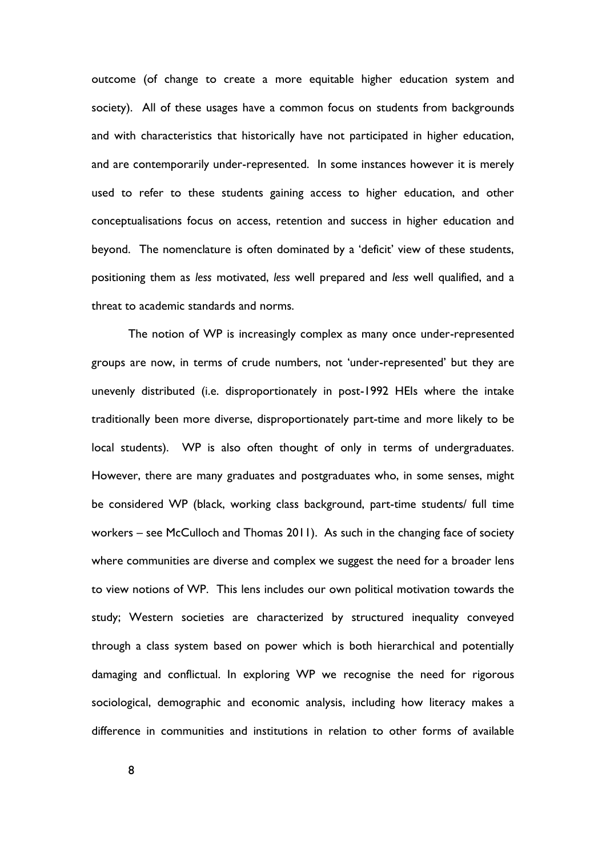outcome (of change to create a more equitable higher education system and society). All of these usages have a common focus on students from backgrounds and with characteristics that historically have not participated in higher education, and are contemporarily under-represented. In some instances however it is merely used to refer to these students gaining access to higher education, and other conceptualisations focus on access, retention and success in higher education and beyond. The nomenclature is often dominated by a 'deficit' view of these students, positioning them as *less* motivated, *less* well prepared and *less* well qualified, and a threat to academic standards and norms.

The notion of WP is increasingly complex as many once under-represented groups are now, in terms of crude numbers, not 'under-represented' but they are unevenly distributed (i.e. disproportionately in post-1992 HEIs where the intake traditionally been more diverse, disproportionately part-time and more likely to be local students). WP is also often thought of only in terms of undergraduates. However, there are many graduates and postgraduates who, in some senses, might be considered WP (black, working class background, part-time students/ full time workers – see McCulloch and Thomas 2011). As such in the changing face of society where communities are diverse and complex we suggest the need for a broader lens to view notions of WP. This lens includes our own political motivation towards the study; Western societies are characterized by structured inequality conveyed through a class system based on power which is both hierarchical and potentially damaging and conflictual. In exploring WP we recognise the need for rigorous sociological, demographic and economic analysis, including how literacy makes a difference in communities and institutions in relation to other forms of available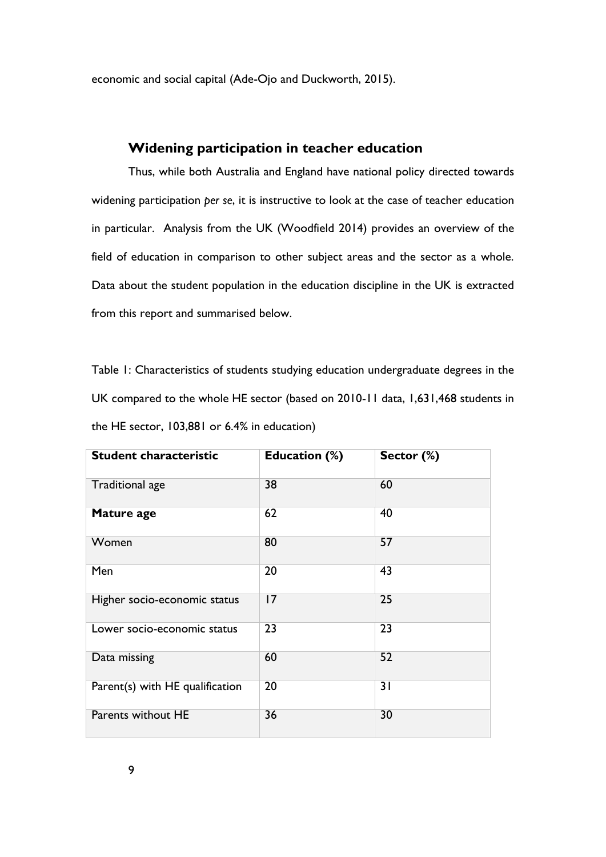economic and social capital (Ade-Ojo and Duckworth, 2015).

## **Widening participation in teacher education**

Thus, while both Australia and England have national policy directed towards widening participation *per se*, it is instructive to look at the case of teacher education in particular. Analysis from the UK (Woodfield 2014) provides an overview of the field of education in comparison to other subject areas and the sector as a whole. Data about the student population in the education discipline in the UK is extracted from this report and summarised below.

Table 1: Characteristics of students studying education undergraduate degrees in the UK compared to the whole HE sector (based on 2010-11 data, 1,631,468 students in the HE sector, 103,881 or 6.4% in education)

| <b>Student characteristic</b>   | Education (%) | Sector (%) |
|---------------------------------|---------------|------------|
| Traditional age                 | 38            | 60         |
| Mature age                      | 62            | 40         |
| Women                           | 80            | 57         |
| Men                             | 20            | 43         |
| Higher socio-economic status    | 17            | 25         |
| Lower socio-economic status     | 23            | 23         |
| Data missing                    | 60            | 52         |
| Parent(s) with HE qualification | 20            | 31         |
| Parents without HE              | 36            | 30         |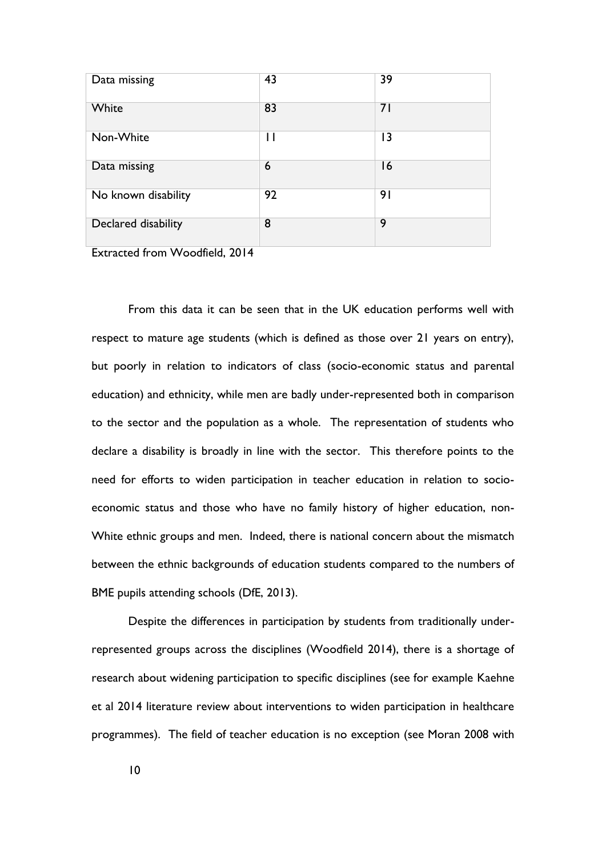| Data missing        | 43 | 39 |
|---------------------|----|----|
| White               | 83 | 71 |
| Non-White           | П  | 3  |
| Data missing        | 6  | 16 |
| No known disability | 92 | 91 |
| Declared disability | 8  | 9  |

Extracted from Woodfield, 2014

From this data it can be seen that in the UK education performs well with respect to mature age students (which is defined as those over 21 years on entry), but poorly in relation to indicators of class (socio-economic status and parental education) and ethnicity, while men are badly under-represented both in comparison to the sector and the population as a whole. The representation of students who declare a disability is broadly in line with the sector. This therefore points to the need for efforts to widen participation in teacher education in relation to socioeconomic status and those who have no family history of higher education, non-White ethnic groups and men. Indeed, there is national concern about the mismatch between the ethnic backgrounds of education students compared to the numbers of BME pupils attending schools (DfE, 2013).

Despite the differences in participation by students from traditionally underrepresented groups across the disciplines (Woodfield 2014), there is a shortage of research about widening participation to specific disciplines (see for example Kaehne et al 2014 literature review about interventions to widen participation in healthcare programmes). The field of teacher education is no exception (see Moran 2008 with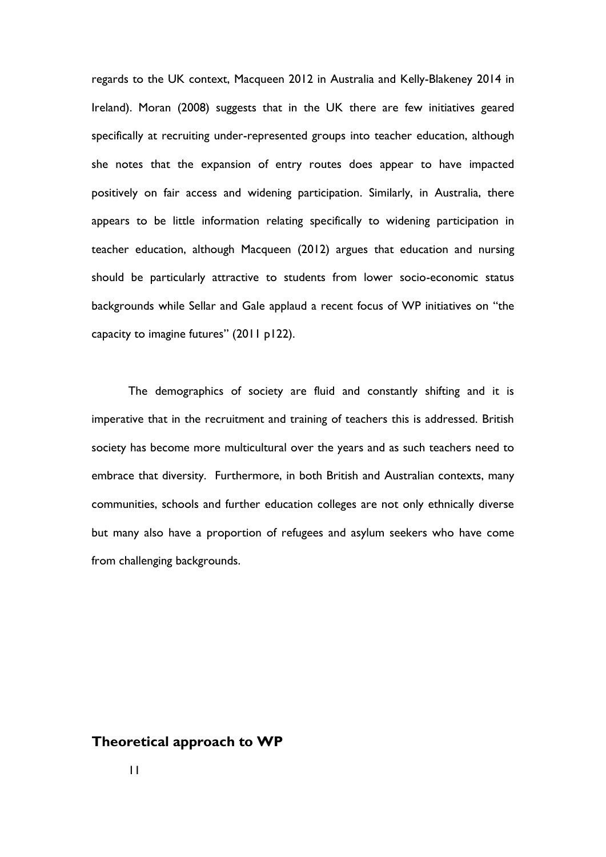regards to the UK context, Macqueen 2012 in Australia and Kelly-Blakeney 2014 in Ireland). Moran (2008) suggests that in the UK there are few initiatives geared specifically at recruiting under-represented groups into teacher education, although she notes that the expansion of entry routes does appear to have impacted positively on fair access and widening participation. Similarly, in Australia, there appears to be little information relating specifically to widening participation in teacher education, although Macqueen (2012) argues that education and nursing should be particularly attractive to students from lower socio-economic status backgrounds while Sellar and Gale applaud a recent focus of WP initiatives on "the capacity to imagine futures" (2011 p122).

The demographics of society are fluid and constantly shifting and it is imperative that in the recruitment and training of teachers this is addressed. British society has become more multicultural over the years and as such teachers need to embrace that diversity. Furthermore, in both British and Australian contexts, many communities, schools and further education colleges are not only ethnically diverse but many also have a proportion of refugees and asylum seekers who have come from challenging backgrounds.

## **Theoretical approach to WP**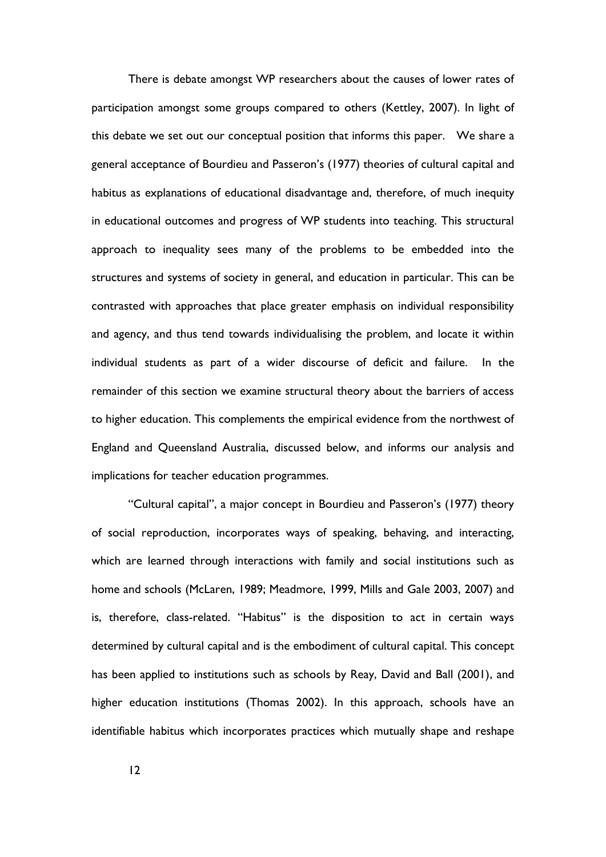There is debate amongst WP researchers about the causes of lower rates of participation amongst some groups compared to others (Kettley, 2007). In light of this debate we set out our conceptual position that informs this paper. We share a general acceptance of Bourdieu and Passeron's (1977) theories of cultural capital and habitus as explanations of educational disadvantage and, therefore, of much inequity in educational outcomes and progress of WP students into teaching. This structural approach to inequality sees many of the problems to be embedded into the structures and systems of society in general, and education in particular. This can be contrasted with approaches that place greater emphasis on individual responsibility and agency, and thus tend towards individualising the problem, and locate it within individual students as part of a wider discourse of deficit and failure. In the remainder of this section we examine structural theory about the barriers of access to higher education. This complements the empirical evidence from the northwest of England and Queensland Australia, discussed below, and informs our analysis and implications for teacher education programmes.

"Cultural capital", a major concept in Bourdieu and Passeron's (1977) theory of social reproduction, incorporates ways of speaking, behaving, and interacting, which are learned through interactions with family and social institutions such as home and schools (McLaren, 1989; Meadmore, 1999, Mills and Gale 2003, 2007) and is, therefore, class-related. "Habitus" is the disposition to act in certain ways determined by cultural capital and is the embodiment of cultural capital. This concept has been applied to institutions such as schools by Reay, David and Ball (2001), and higher education institutions (Thomas 2002). In this approach, schools have an identifiable habitus which incorporates practices which mutually shape and reshape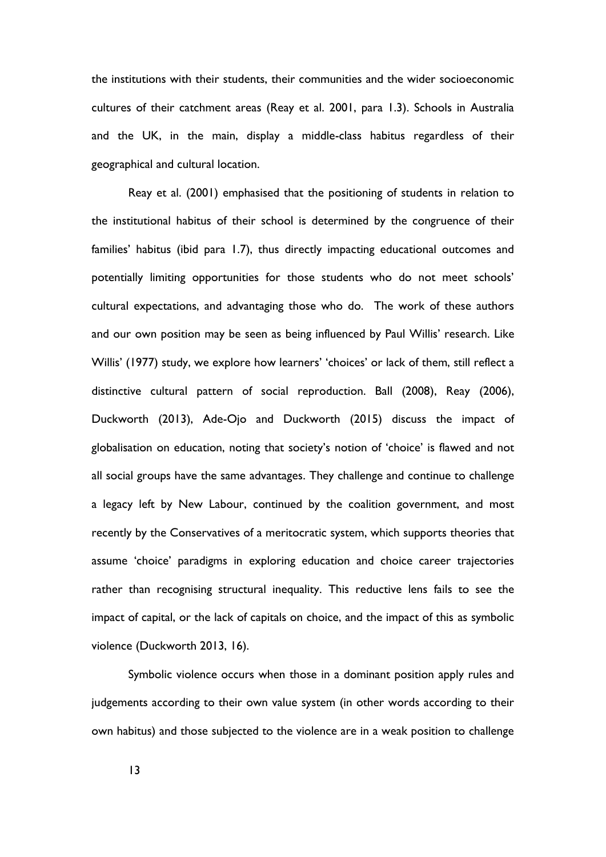the institutions with their students, their communities and the wider socioeconomic cultures of their catchment areas (Reay et al. 2001, para 1.3). Schools in Australia and the UK, in the main, display a middle-class habitus regardless of their geographical and cultural location.

Reay et al. (2001) emphasised that the positioning of students in relation to the institutional habitus of their school is determined by the congruence of their families' habitus (ibid para 1.7), thus directly impacting educational outcomes and potentially limiting opportunities for those students who do not meet schools' cultural expectations, and advantaging those who do. The work of these authors and our own position may be seen as being influenced by Paul Willis' research. Like Willis' (1977) study, we explore how learners' 'choices' or lack of them, still reflect a distinctive cultural pattern of social reproduction. Ball (2008), Reay (2006), Duckworth (2013), Ade-Ojo and Duckworth (2015) discuss the impact of globalisation on education, noting that society's notion of 'choice' is flawed and not all social groups have the same advantages. They challenge and continue to challenge a legacy left by New Labour, continued by the coalition government, and most recently by the Conservatives of a meritocratic system, which supports theories that assume 'choice' paradigms in exploring education and choice career trajectories rather than recognising structural inequality. This reductive lens fails to see the impact of capital, or the lack of capitals on choice, and the impact of this as symbolic violence (Duckworth 2013, 16).

Symbolic violence occurs when those in a dominant position apply rules and judgements according to their own value system (in other words according to their own habitus) and those subjected to the violence are in a weak position to challenge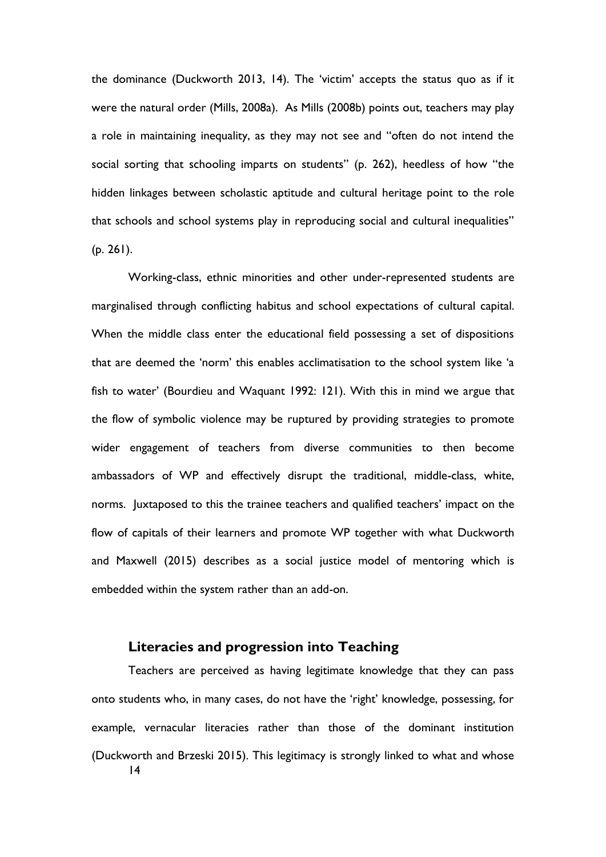the dominance (Duckworth 2013, 14). The 'victim' accepts the status quo as if it were the natural order (Mills, 2008a). As Mills (2008b) points out, teachers may play a role in maintaining inequality, as they may not see and "often do not intend the social sorting that schooling imparts on students" (p. 262), heedless of how "the hidden linkages between scholastic aptitude and cultural heritage point to the role that schools and school systems play in reproducing social and cultural inequalities" (p. 261).

Working-class, ethnic minorities and other under-represented students are marginalised through conflicting habitus and school expectations of cultural capital. When the middle class enter the educational field possessing a set of dispositions that are deemed the 'norm' this enables acclimatisation to the school system like 'a fish to water' (Bourdieu and Waquant 1992: 121). With this in mind we argue that the flow of symbolic violence may be ruptured by providing strategies to promote wider engagement of teachers from diverse communities to then become ambassadors of WP and effectively disrupt the traditional, middle-class, white, norms. Juxtaposed to this the trainee teachers and qualified teachers' impact on the flow of capitals of their learners and promote WP together with what Duckworth and Maxwell (2015) describes as a social justice model of mentoring which is embedded within the system rather than an add-on.

## **Literacies and progression into Teaching**

14 Teachers are perceived as having legitimate knowledge that they can pass onto students who, in many cases, do not have the 'right' knowledge, possessing, for example, vernacular literacies rather than those of the dominant institution (Duckworth and Brzeski 2015). This legitimacy is strongly linked to what and whose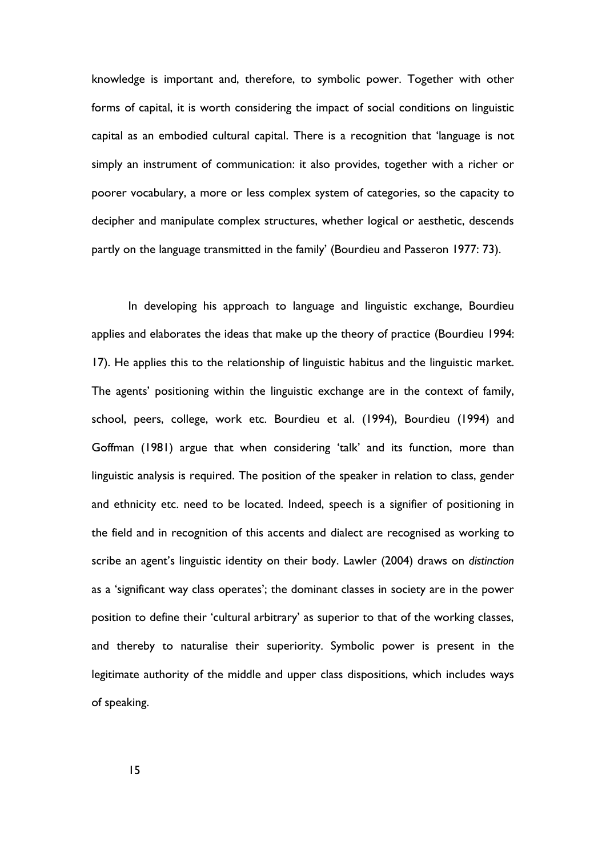knowledge is important and, therefore, to symbolic power. Together with other forms of capital, it is worth considering the impact of social conditions on linguistic capital as an embodied cultural capital. There is a recognition that 'language is not simply an instrument of communication: it also provides, together with a richer or poorer vocabulary, a more or less complex system of categories, so the capacity to decipher and manipulate complex structures, whether logical or aesthetic, descends partly on the language transmitted in the family' (Bourdieu and Passeron 1977: 73).

In developing his approach to language and linguistic exchange, Bourdieu applies and elaborates the ideas that make up the theory of practice (Bourdieu 1994: 17). He applies this to the relationship of linguistic habitus and the linguistic market. The agents' positioning within the linguistic exchange are in the context of family, school, peers, college, work etc. Bourdieu et al. (1994), Bourdieu (1994) and Goffman (1981) argue that when considering 'talk' and its function, more than linguistic analysis is required. The position of the speaker in relation to class, gender and ethnicity etc. need to be located. Indeed, speech is a signifier of positioning in the field and in recognition of this accents and dialect are recognised as working to scribe an agent's linguistic identity on their body. Lawler (2004) draws on *distinction* as a 'significant way class operates'; the dominant classes in society are in the power position to define their 'cultural arbitrary' as superior to that of the working classes, and thereby to naturalise their superiority. Symbolic power is present in the legitimate authority of the middle and upper class dispositions, which includes ways of speaking.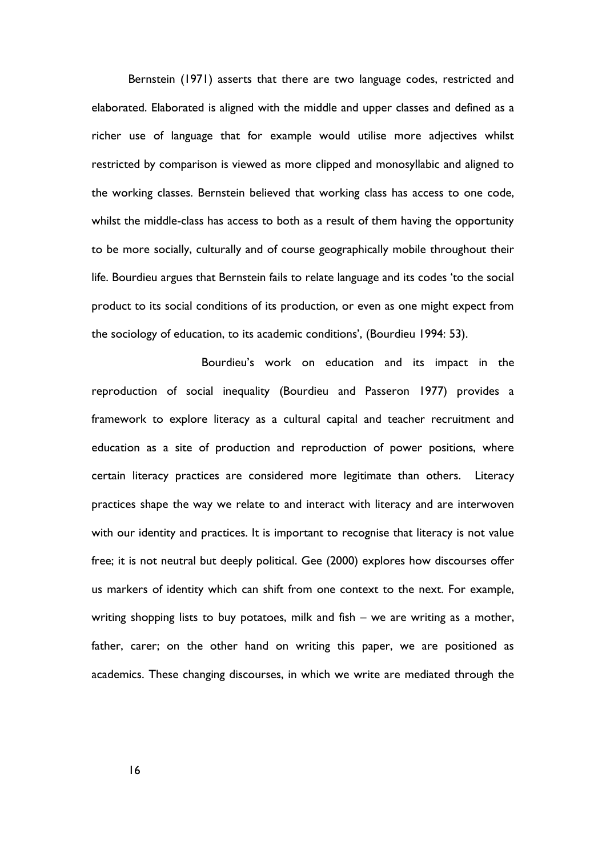Bernstein (1971) asserts that there are two language codes, restricted and elaborated. Elaborated is aligned with the middle and upper classes and defined as a richer use of language that for example would utilise more adjectives whilst restricted by comparison is viewed as more clipped and monosyllabic and aligned to the working classes. Bernstein believed that working class has access to one code, whilst the middle-class has access to both as a result of them having the opportunity to be more socially, culturally and of course geographically mobile throughout their life. Bourdieu argues that Bernstein fails to relate language and its codes 'to the social product to its social conditions of its production, or even as one might expect from the sociology of education, to its academic conditions', (Bourdieu 1994: 53).

Bourdieu's work on education and its impact in the reproduction of social inequality (Bourdieu and Passeron 1977) provides a framework to explore literacy as a cultural capital and teacher recruitment and education as a site of production and reproduction of power positions, where certain literacy practices are considered more legitimate than others. Literacy practices shape the way we relate to and interact with literacy and are interwoven with our identity and practices. It is important to recognise that literacy is not value free; it is not neutral but deeply political. Gee (2000) explores how discourses offer us markers of identity which can shift from one context to the next. For example, writing shopping lists to buy potatoes, milk and fish – we are writing as a mother, father, carer; on the other hand on writing this paper, we are positioned as academics. These changing discourses, in which we write are mediated through the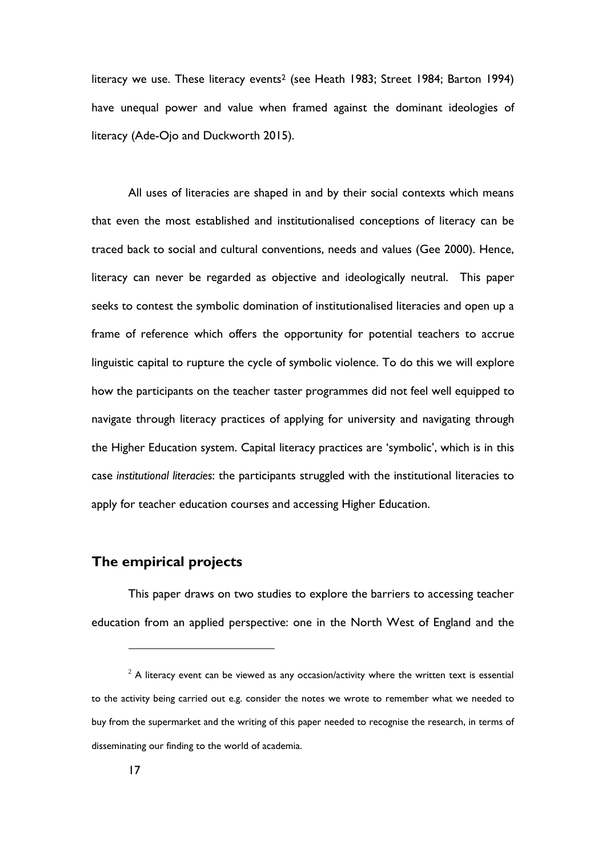literacy we use. These literacy events<sup>2</sup> (see Heath 1983; Street 1984; Barton 1994) have unequal power and value when framed against the dominant ideologies of literacy (Ade-Ojo and Duckworth 2015).

All uses of literacies are shaped in and by their social contexts which means that even the most established and institutionalised conceptions of literacy can be traced back to social and cultural conventions, needs and values (Gee 2000). Hence, literacy can never be regarded as objective and ideologically neutral. This paper seeks to contest the symbolic domination of institutionalised literacies and open up a frame of reference which offers the opportunity for potential teachers to accrue linguistic capital to rupture the cycle of symbolic violence. To do this we will explore how the participants on the teacher taster programmes did not feel well equipped to navigate through literacy practices of applying for university and navigating through the Higher Education system. Capital literacy practices are 'symbolic', which is in this case *institutional literacies*: the participants struggled with the institutional literacies to apply for teacher education courses and accessing Higher Education.

## **The empirical projects**

This paper draws on two studies to explore the barriers to accessing teacher education from an applied perspective: one in the North West of England and the

 $2^{2}$  A literacy event can be viewed as any occasion/activity where the written text is essential to the activity being carried out e.g. consider the notes we wrote to remember what we needed to buy from the supermarket and the writing of this paper needed to recognise the research, in terms of disseminating our finding to the world of academia.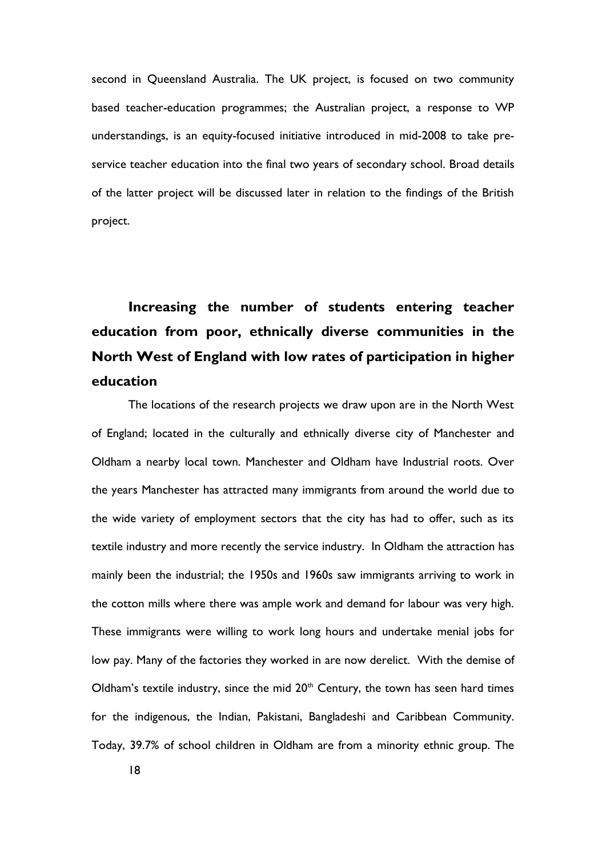second in Queensland Australia. The UK project, is focused on two community based teacher-education programmes; the Australian project, a response to WP understandings, is an equity-focused initiative introduced in mid-2008 to take preservice teacher education into the final two years of secondary school. Broad details of the latter project will be discussed later in relation to the findings of the British project.

# **Increasing the number of students entering teacher education from poor, ethnically diverse communities in the North West of England with low rates of participation in higher education**

The locations of the research projects we draw upon are in the North West of England; located in the culturally and ethnically diverse city of Manchester and Oldham a nearby local town. Manchester and Oldham have Industrial roots. Over the years Manchester has attracted many immigrants from around the world due to the wide variety of employment sectors that the city has had to offer, such as its textile industry and more recently the service industry. In Oldham the attraction has mainly been the industrial; the 1950s and 1960s saw immigrants arriving to work in the cotton mills where there was ample work and demand for labour was very high. These immigrants were willing to work long hours and undertake menial jobs for low pay. Many of the factories they worked in are now derelict. With the demise of Oldham's textile industry, since the mid  $20<sup>th</sup>$  Century, the town has seen hard times for the indigenous, the Indian, Pakistani, Bangladeshi and Caribbean Community. Today, 39.7% of school children in Oldham are from a minority ethnic group. The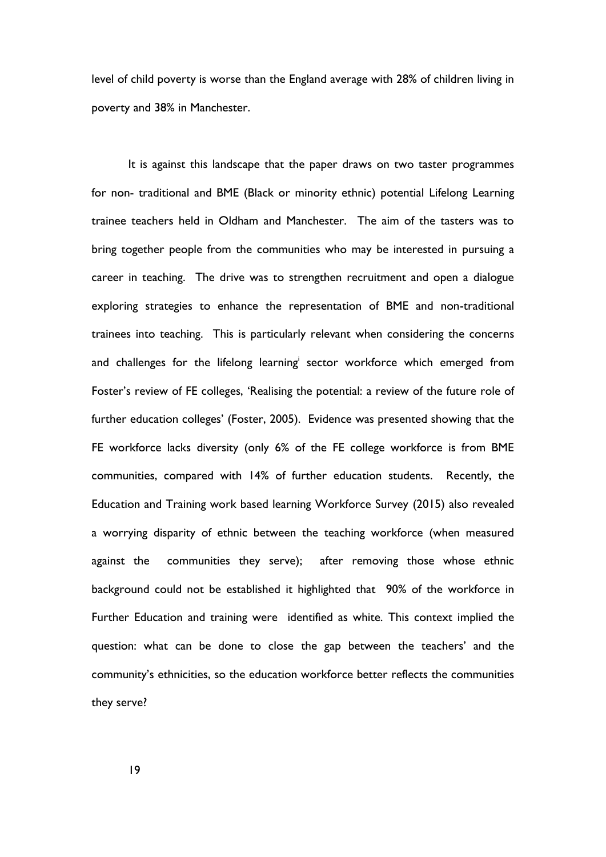level of child poverty is worse than the England average with 28% of children living in poverty and 38% in Manchester.

It is against this landscape that the paper draws on two taster programmes for non- traditional and BME (Black or minority ethnic) potential Lifelong Learning trainee teachers held in Oldham and Manchester. The aim of the tasters was to bring together people from the communities who may be interested in pursuing a career in teaching. The drive was to strengthen recruitment and open a dialogue exploring strategies to enhance the representation of BME and non-traditional trainees into teaching. This is particularly relevant when considering the concerns and challenges for the lifelong learning sector workforce which emerged from Foster's review of FE colleges, 'Realising the potential: a review of the future role of further education colleges' (Foster, 2005). Evidence was presented showing that the FE workforce lacks diversity (only 6% of the FE college workforce is from BME communities, compared with 14% of further education students. Recently, the Education and Training work based learning Workforce Survey (2015) also revealed a worrying disparity of ethnic between the teaching workforce (when measured against the communities they serve); after removing those whose ethnic background could not be established it highlighted that 90% of the workforce in Further Education and training were identified as white. This context implied the question: what can be done to close the gap between the teachers' and the community's ethnicities, so the education workforce better reflects the communities they serve?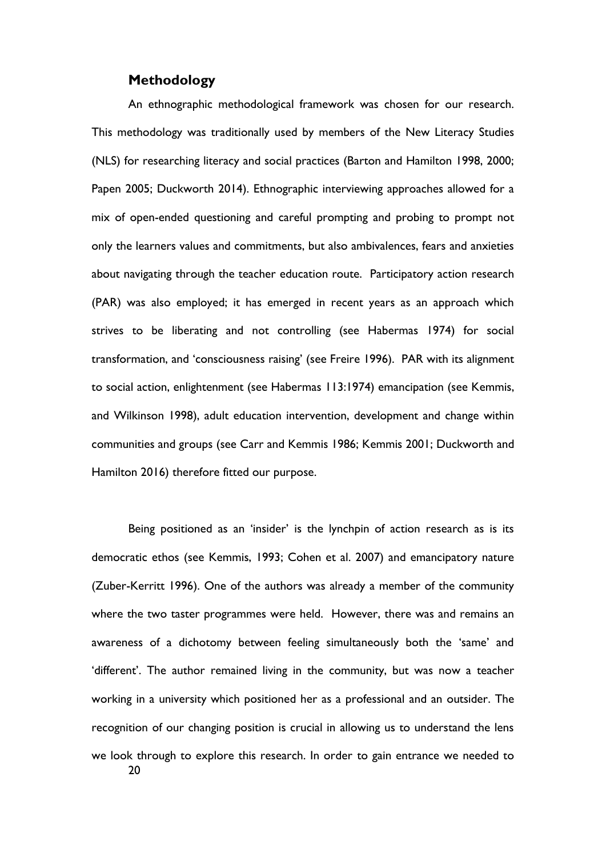## **Methodology**

An ethnographic methodological framework was chosen for our research. This methodology was traditionally used by members of the New Literacy Studies (NLS) for researching literacy and social practices (Barton and Hamilton 1998, 2000; Papen 2005; Duckworth 2014). Ethnographic interviewing approaches allowed for a mix of open-ended questioning and careful prompting and probing to prompt not only the learners values and commitments, but also ambivalences, fears and anxieties about navigating through the teacher education route. Participatory action research (PAR) was also employed; it has emerged in recent years as an approach which strives to be liberating and not controlling (see Habermas 1974) for social transformation, and 'consciousness raising' (see Freire 1996). PAR with its alignment to social action, enlightenment (see Habermas 113:1974) emancipation (see Kemmis, and Wilkinson 1998), adult education intervention, development and change within communities and groups (see Carr and Kemmis 1986; Kemmis 2001; Duckworth and Hamilton 2016) therefore fitted our purpose.

20 Being positioned as an 'insider' is the lynchpin of action research as is its democratic ethos (see Kemmis, 1993; Cohen et al. 2007) and emancipatory nature (Zuber-Kerritt 1996). One of the authors was already a member of the community where the two taster programmes were held. However, there was and remains an awareness of a dichotomy between feeling simultaneously both the 'same' and 'different'. The author remained living in the community, but was now a teacher working in a university which positioned her as a professional and an outsider. The recognition of our changing position is crucial in allowing us to understand the lens we look through to explore this research. In order to gain entrance we needed to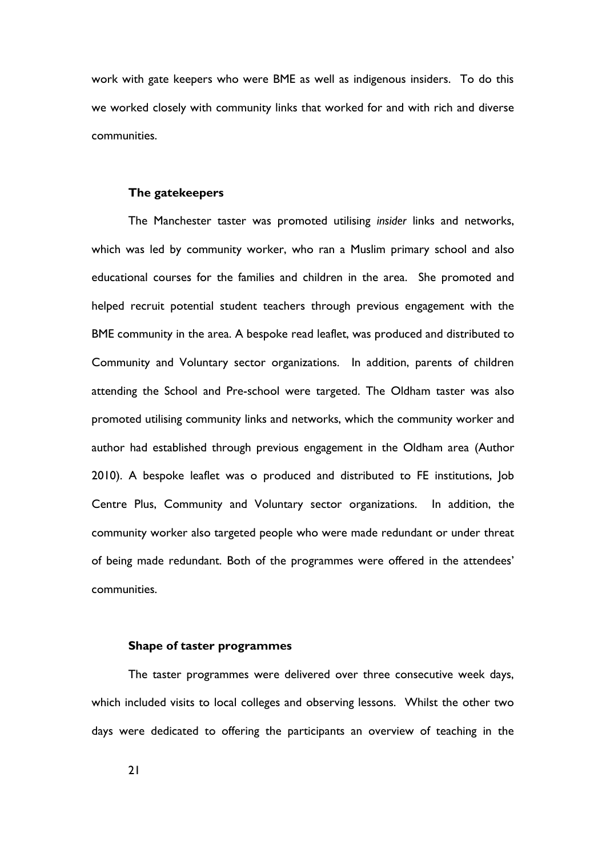work with gate keepers who were BME as well as indigenous insiders. To do this we worked closely with community links that worked for and with rich and diverse communities.

#### **The gatekeepers**

The Manchester taster was promoted utilising *insider* links and networks, which was led by community worker, who ran a Muslim primary school and also educational courses for the families and children in the area. She promoted and helped recruit potential student teachers through previous engagement with the BME community in the area. A bespoke read leaflet, was produced and distributed to Community and Voluntary sector organizations. In addition, parents of children attending the School and Pre-school were targeted. The Oldham taster was also promoted utilising community links and networks, which the community worker and author had established through previous engagement in the Oldham area (Author 2010). A bespoke leaflet was o produced and distributed to FE institutions, Job Centre Plus, Community and Voluntary sector organizations. In addition, the community worker also targeted people who were made redundant or under threat of being made redundant. Both of the programmes were offered in the attendees' communities.

#### **Shape of taster programmes**

The taster programmes were delivered over three consecutive week days, which included visits to local colleges and observing lessons. Whilst the other two days were dedicated to offering the participants an overview of teaching in the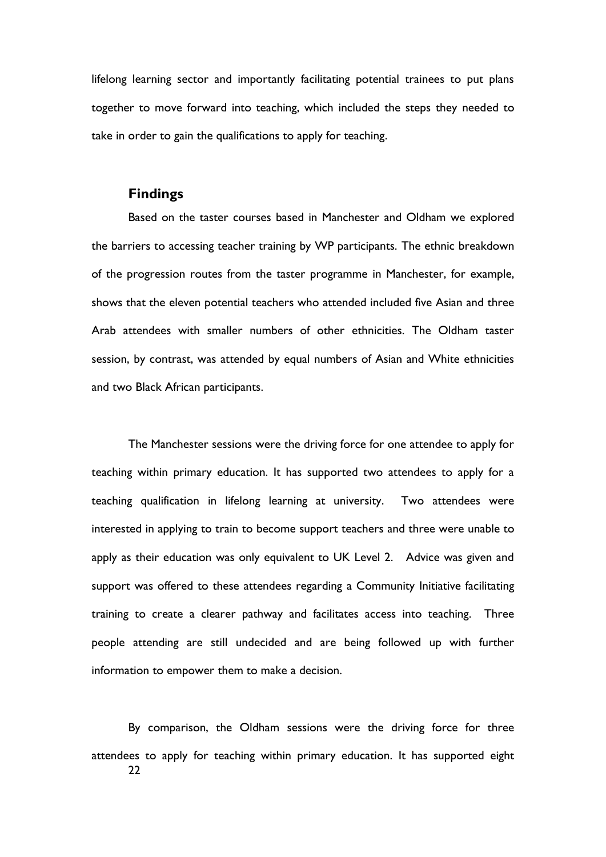lifelong learning sector and importantly facilitating potential trainees to put plans together to move forward into teaching, which included the steps they needed to take in order to gain the qualifications to apply for teaching.

#### **Findings**

Based on the taster courses based in Manchester and Oldham we explored the barriers to accessing teacher training by WP participants. The ethnic breakdown of the progression routes from the taster programme in Manchester, for example, shows that the eleven potential teachers who attended included five Asian and three Arab attendees with smaller numbers of other ethnicities. The Oldham taster session, by contrast, was attended by equal numbers of Asian and White ethnicities and two Black African participants.

The Manchester sessions were the driving force for one attendee to apply for teaching within primary education. It has supported two attendees to apply for a teaching qualification in lifelong learning at university. Two attendees were interested in applying to train to become support teachers and three were unable to apply as their education was only equivalent to UK Level 2. Advice was given and support was offered to these attendees regarding a Community Initiative facilitating training to create a clearer pathway and facilitates access into teaching. Three people attending are still undecided and are being followed up with further information to empower them to make a decision.

22 By comparison, the Oldham sessions were the driving force for three attendees to apply for teaching within primary education. It has supported eight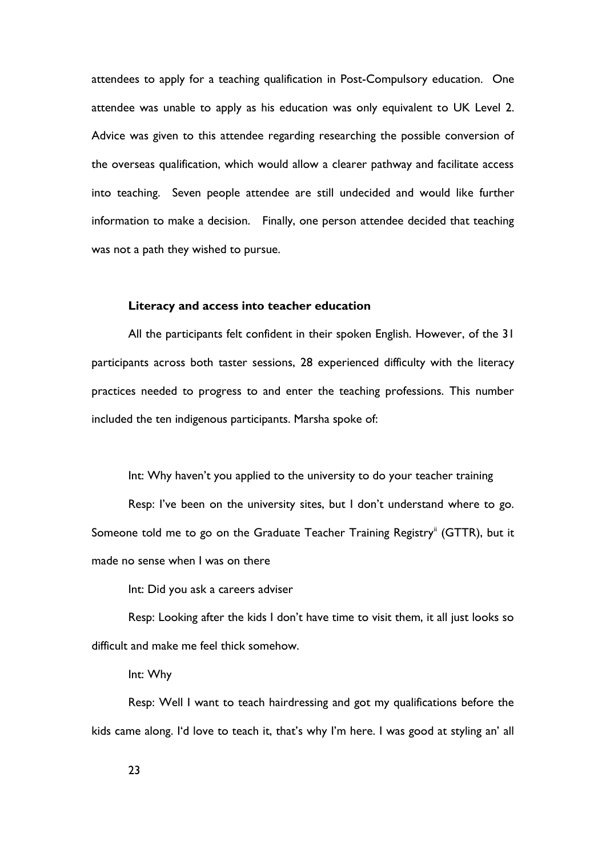attendees to apply for a teaching qualification in Post-Compulsory education. One attendee was unable to apply as his education was only equivalent to UK Level 2. Advice was given to this attendee regarding researching the possible conversion of the overseas qualification, which would allow a clearer pathway and facilitate access into teaching. Seven people attendee are still undecided and would like further information to make a decision. Finally, one person attendee decided that teaching was not a path they wished to pursue.

#### **Literacy and access into teacher education**

All the participants felt confident in their spoken English. However, of the 31 participants across both taster sessions, 28 experienced difficulty with the literacy practices needed to progress to and enter the teaching professions. This number included the ten indigenous participants. Marsha spoke of:

Int: Why haven't you applied to the university to do your teacher training

Resp: I've been on the university sites, but I don't understand where to go. Someone told me to go on the Graduate Teacher Training Registry<sup>ii</sup> (GTTR), but it made no sense when I was on there

Int: Did you ask a careers adviser

Resp: Looking after the kids I don't have time to visit them, it all just looks so difficult and make me feel thick somehow.

Int: Why

Resp: Well I want to teach hairdressing and got my qualifications before the kids came along. I'd love to teach it, that's why I'm here. I was good at styling an' all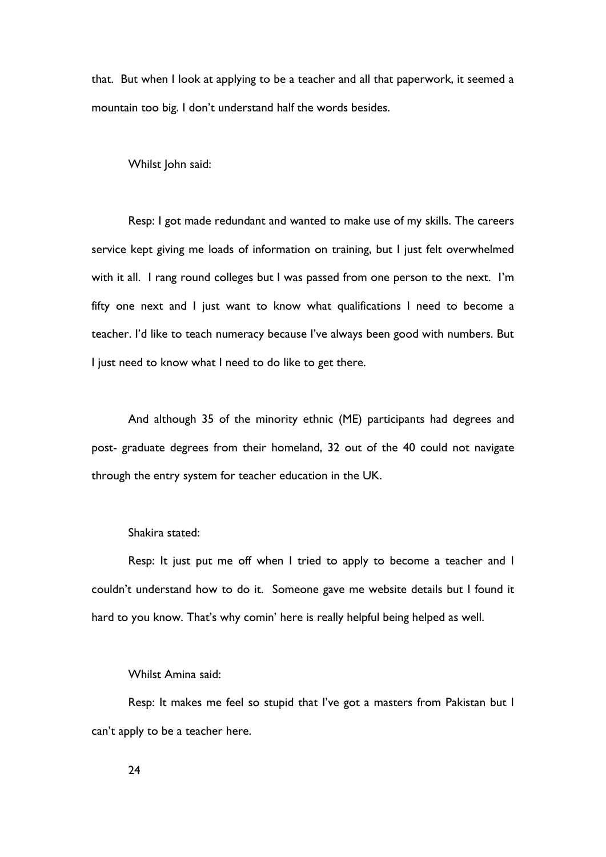that. But when I look at applying to be a teacher and all that paperwork, it seemed a mountain too big. I don't understand half the words besides.

Whilst John said:

Resp: I got made redundant and wanted to make use of my skills. The careers service kept giving me loads of information on training, but I just felt overwhelmed with it all. I rang round colleges but I was passed from one person to the next. I'm fifty one next and I just want to know what qualifications I need to become a teacher. I'd like to teach numeracy because I've always been good with numbers. But I just need to know what I need to do like to get there.

And although 35 of the minority ethnic (ME) participants had degrees and post- graduate degrees from their homeland, 32 out of the 40 could not navigate through the entry system for teacher education in the UK.

## Shakira stated:

Resp: It just put me off when I tried to apply to become a teacher and I couldn't understand how to do it. Someone gave me website details but I found it hard to you know. That's why comin' here is really helpful being helped as well.

#### Whilst Amina said:

Resp: It makes me feel so stupid that I've got a masters from Pakistan but I can't apply to be a teacher here.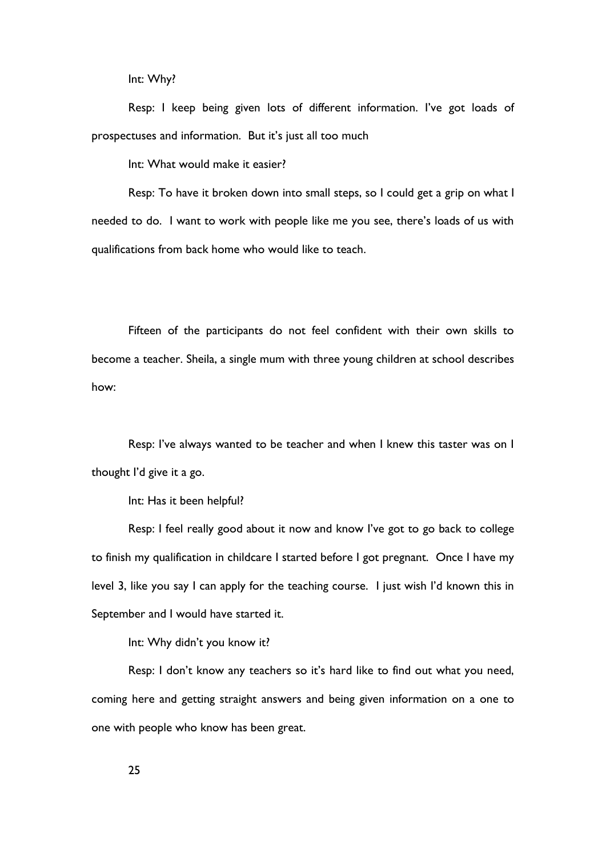Int: Why?

Resp: I keep being given lots of different information. I've got loads of prospectuses and information. But it's just all too much

Int: What would make it easier?

Resp: To have it broken down into small steps, so I could get a grip on what I needed to do. I want to work with people like me you see, there's loads of us with qualifications from back home who would like to teach.

Fifteen of the participants do not feel confident with their own skills to become a teacher. Sheila, a single mum with three young children at school describes how:

Resp: I've always wanted to be teacher and when I knew this taster was on I thought I'd give it a go.

Int: Has it been helpful?

Resp: I feel really good about it now and know I've got to go back to college to finish my qualification in childcare I started before I got pregnant. Once I have my level 3, like you say I can apply for the teaching course. I just wish I'd known this in September and I would have started it.

Int: Why didn't you know it?

Resp: I don't know any teachers so it's hard like to find out what you need, coming here and getting straight answers and being given information on a one to one with people who know has been great.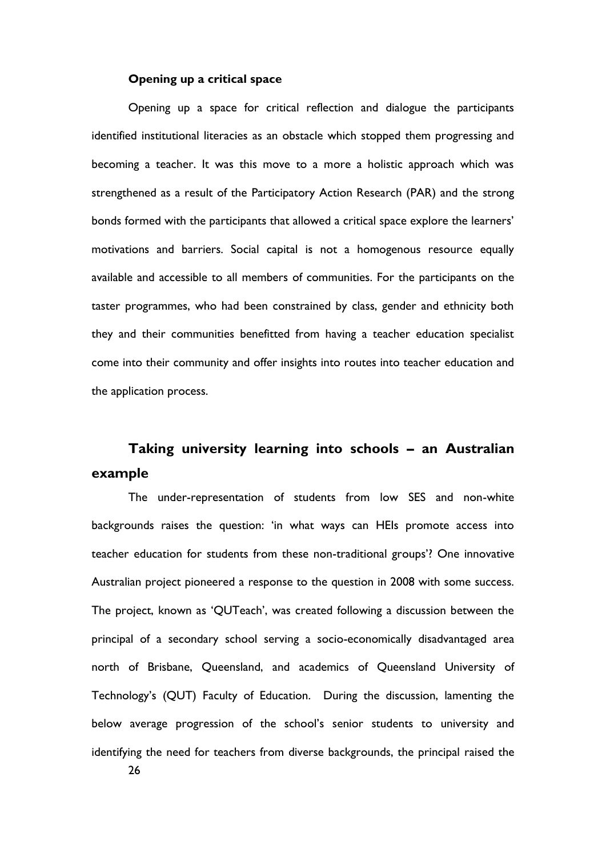#### **Opening up a critical space**

Opening up a space for critical reflection and dialogue the participants identified institutional literacies as an obstacle which stopped them progressing and becoming a teacher. It was this move to a more a holistic approach which was strengthened as a result of the Participatory Action Research (PAR) and the strong bonds formed with the participants that allowed a critical space explore the learners' motivations and barriers. Social capital is not a homogenous resource equally available and accessible to all members of communities. For the participants on the taster programmes, who had been constrained by class, gender and ethnicity both they and their communities benefitted from having a teacher education specialist come into their community and offer insights into routes into teacher education and the application process.

## **Taking university learning into schools – an Australian example**

The under-representation of students from low SES and non-white backgrounds raises the question: 'in what ways can HEIs promote access into teacher education for students from these non-traditional groups'? One innovative Australian project pioneered a response to the question in 2008 with some success. The project, known as 'QUTeach', was created following a discussion between the principal of a secondary school serving a socio-economically disadvantaged area north of Brisbane, Queensland, and academics of Queensland University of Technology's (QUT) Faculty of Education. During the discussion, lamenting the below average progression of the school's senior students to university and identifying the need for teachers from diverse backgrounds, the principal raised the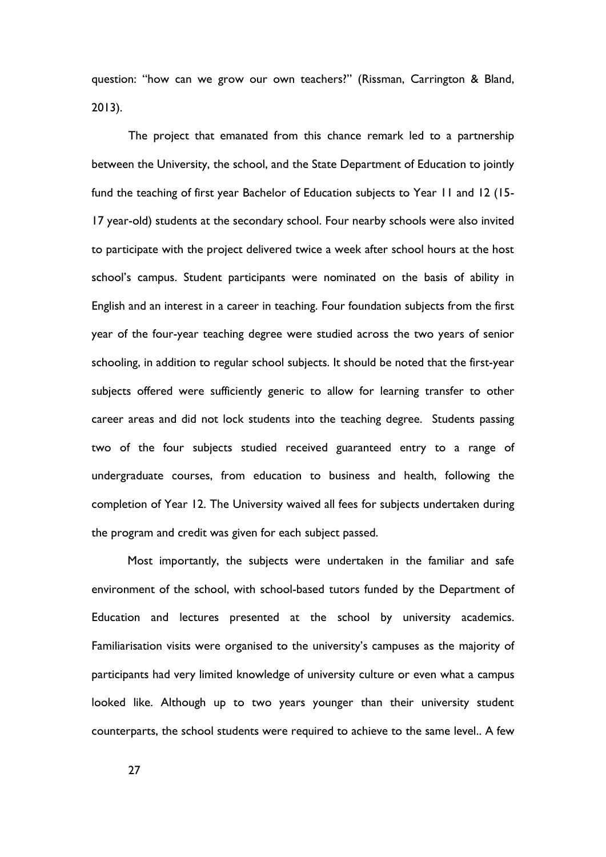question: "how can we grow our own teachers?" (Rissman, Carrington & Bland, 2013).

The project that emanated from this chance remark led to a partnership between the University, the school, and the State Department of Education to jointly fund the teaching of first year Bachelor of Education subjects to Year 11 and 12 (15- 17 year-old) students at the secondary school. Four nearby schools were also invited to participate with the project delivered twice a week after school hours at the host school's campus. Student participants were nominated on the basis of ability in English and an interest in a career in teaching. Four foundation subjects from the first year of the four-year teaching degree were studied across the two years of senior schooling, in addition to regular school subjects. It should be noted that the first-year subjects offered were sufficiently generic to allow for learning transfer to other career areas and did not lock students into the teaching degree. Students passing two of the four subjects studied received guaranteed entry to a range of undergraduate courses, from education to business and health, following the completion of Year 12. The University waived all fees for subjects undertaken during the program and credit was given for each subject passed.

Most importantly, the subjects were undertaken in the familiar and safe environment of the school, with school-based tutors funded by the Department of Education and lectures presented at the school by university academics. Familiarisation visits were organised to the university's campuses as the majority of participants had very limited knowledge of university culture or even what a campus looked like. Although up to two years younger than their university student counterparts, the school students were required to achieve to the same level.. A few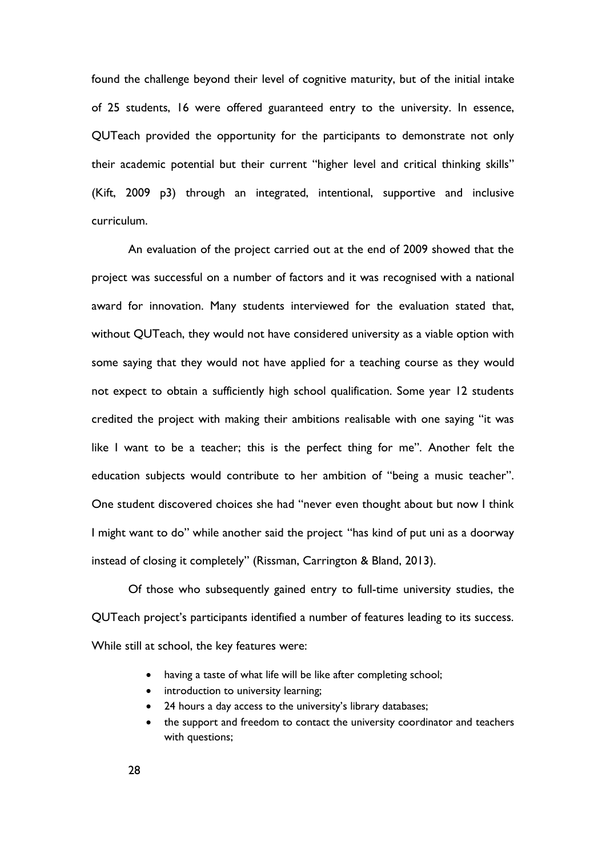found the challenge beyond their level of cognitive maturity, but of the initial intake of 25 students, 16 were offered guaranteed entry to the university. In essence, QUTeach provided the opportunity for the participants to demonstrate not only their academic potential but their current "higher level and critical thinking skills" (Kift, 2009 p3) through an integrated, intentional, supportive and inclusive curriculum.

An evaluation of the project carried out at the end of 2009 showed that the project was successful on a number of factors and it was recognised with a national award for innovation. Many students interviewed for the evaluation stated that, without QUTeach, they would not have considered university as a viable option with some saying that they would not have applied for a teaching course as they would not expect to obtain a sufficiently high school qualification. Some year 12 students credited the project with making their ambitions realisable with one saying "it was like I want to be a teacher; this is the perfect thing for me". Another felt the education subjects would contribute to her ambition of "being a music teacher". One student discovered choices she had "never even thought about but now I think I might want to do" while another said the project "has kind of put uni as a doorway instead of closing it completely" (Rissman, Carrington & Bland, 2013).

Of those who subsequently gained entry to full-time university studies, the QUTeach project's participants identified a number of features leading to its success. While still at school, the key features were:

- having a taste of what life will be like after completing school;
- introduction to university learning;
- 24 hours a day access to the university's library databases;
- the support and freedom to contact the university coordinator and teachers with questions;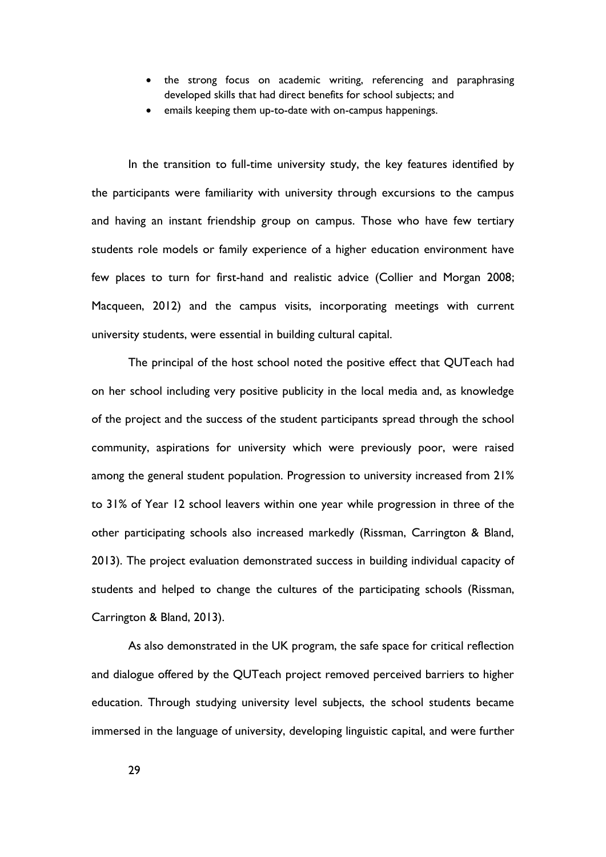- the strong focus on academic writing, referencing and paraphrasing developed skills that had direct benefits for school subjects; and
- emails keeping them up-to-date with on-campus happenings.

In the transition to full-time university study, the key features identified by the participants were familiarity with university through excursions to the campus and having an instant friendship group on campus. Those who have few tertiary students role models or family experience of a higher education environment have few places to turn for first-hand and realistic advice (Collier and Morgan 2008; Macqueen, 2012) and the campus visits, incorporating meetings with current university students, were essential in building cultural capital.

The principal of the host school noted the positive effect that QUTeach had on her school including very positive publicity in the local media and, as knowledge of the project and the success of the student participants spread through the school community, aspirations for university which were previously poor, were raised among the general student population. Progression to university increased from 21% to 31% of Year 12 school leavers within one year while progression in three of the other participating schools also increased markedly (Rissman, Carrington & Bland, 2013). The project evaluation demonstrated success in building individual capacity of students and helped to change the cultures of the participating schools (Rissman, Carrington & Bland, 2013).

As also demonstrated in the UK program, the safe space for critical reflection and dialogue offered by the QUTeach project removed perceived barriers to higher education. Through studying university level subjects, the school students became immersed in the language of university, developing linguistic capital, and were further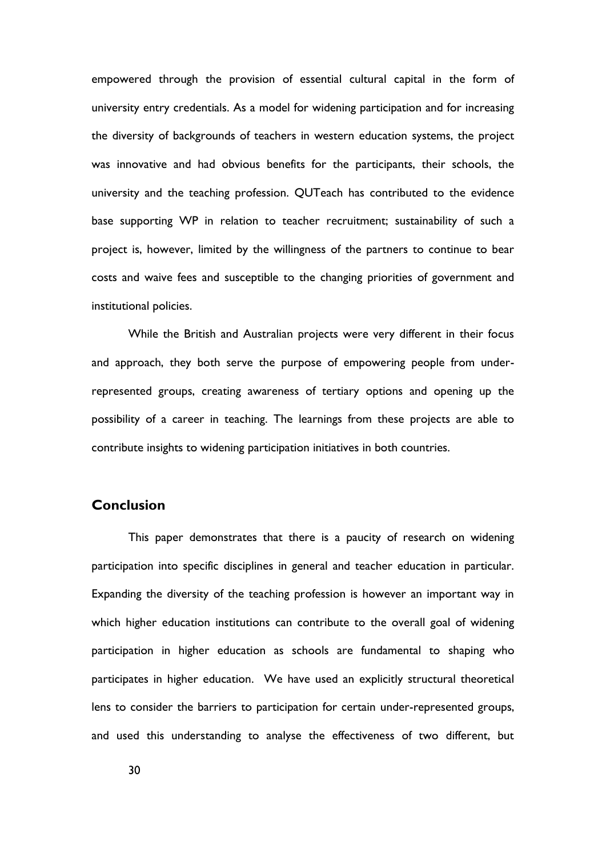empowered through the provision of essential cultural capital in the form of university entry credentials. As a model for widening participation and for increasing the diversity of backgrounds of teachers in western education systems, the project was innovative and had obvious benefits for the participants, their schools, the university and the teaching profession. QUTeach has contributed to the evidence base supporting WP in relation to teacher recruitment; sustainability of such a project is, however, limited by the willingness of the partners to continue to bear costs and waive fees and susceptible to the changing priorities of government and institutional policies.

While the British and Australian projects were very different in their focus and approach, they both serve the purpose of empowering people from underrepresented groups, creating awareness of tertiary options and opening up the possibility of a career in teaching. The learnings from these projects are able to contribute insights to widening participation initiatives in both countries.

### **Conclusion**

This paper demonstrates that there is a paucity of research on widening participation into specific disciplines in general and teacher education in particular. Expanding the diversity of the teaching profession is however an important way in which higher education institutions can contribute to the overall goal of widening participation in higher education as schools are fundamental to shaping who participates in higher education. We have used an explicitly structural theoretical lens to consider the barriers to participation for certain under-represented groups, and used this understanding to analyse the effectiveness of two different, but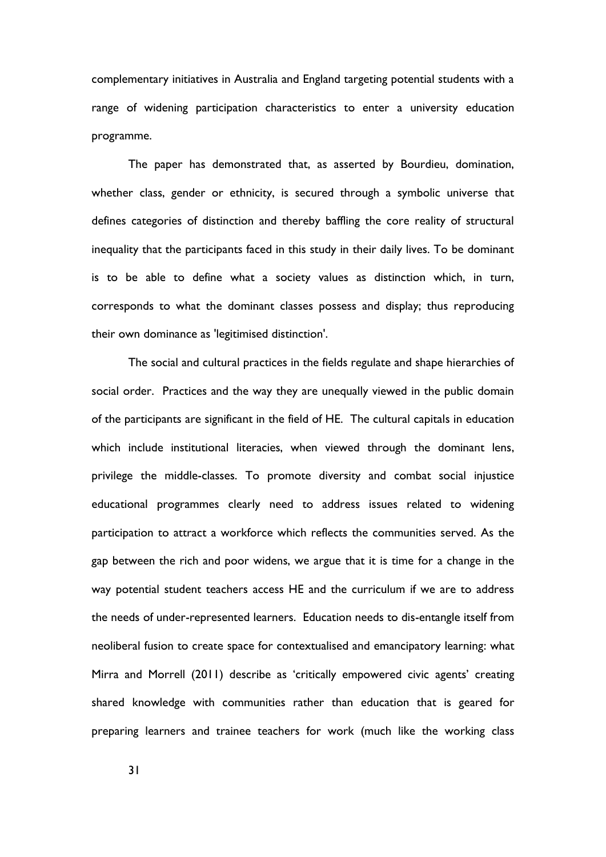complementary initiatives in Australia and England targeting potential students with a range of widening participation characteristics to enter a university education programme.

The paper has demonstrated that, as asserted by Bourdieu, domination, whether class, gender or ethnicity, is secured through a symbolic universe that defines categories of distinction and thereby baffling the core reality of structural inequality that the participants faced in this study in their daily lives. To be dominant is to be able to define what a society values as distinction which, in turn, corresponds to what the dominant classes possess and display; thus reproducing their own dominance as 'legitimised distinction'.

The social and cultural practices in the fields regulate and shape hierarchies of social order. Practices and the way they are unequally viewed in the public domain of the participants are significant in the field of HE. The cultural capitals in education which include institutional literacies, when viewed through the dominant lens, privilege the middle-classes. To promote diversity and combat social injustice educational programmes clearly need to address issues related to widening participation to attract a workforce which reflects the communities served. As the gap between the rich and poor widens, we argue that it is time for a change in the way potential student teachers access HE and the curriculum if we are to address the needs of under-represented learners. Education needs to dis-entangle itself from neoliberal fusion to create space for contextualised and emancipatory learning: what Mirra and Morrell (2011) describe as 'critically empowered civic agents' creating shared knowledge with communities rather than education that is geared for preparing learners and trainee teachers for work (much like the working class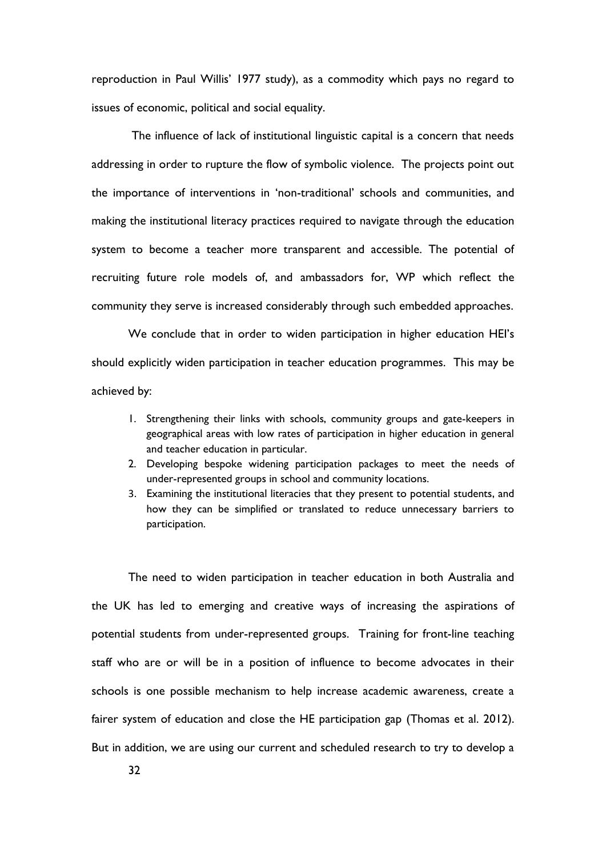reproduction in Paul Willis' 1977 study), as a commodity which pays no regard to issues of economic, political and social equality.

The influence of lack of institutional linguistic capital is a concern that needs addressing in order to rupture the flow of symbolic violence. The projects point out the importance of interventions in 'non-traditional' schools and communities, and making the institutional literacy practices required to navigate through the education system to become a teacher more transparent and accessible. The potential of recruiting future role models of, and ambassadors for, WP which reflect the community they serve is increased considerably through such embedded approaches.

We conclude that in order to widen participation in higher education HEI's should explicitly widen participation in teacher education programmes. This may be achieved by:

- 1. Strengthening their links with schools, community groups and gate-keepers in geographical areas with low rates of participation in higher education in general and teacher education in particular.
- 2. Developing bespoke widening participation packages to meet the needs of under-represented groups in school and community locations.
- 3. Examining the institutional literacies that they present to potential students, and how they can be simplified or translated to reduce unnecessary barriers to participation.

The need to widen participation in teacher education in both Australia and the UK has led to emerging and creative ways of increasing the aspirations of potential students from under-represented groups. Training for front-line teaching staff who are or will be in a position of influence to become advocates in their schools is one possible mechanism to help increase academic awareness, create a fairer system of education and close the HE participation gap (Thomas et al. 2012). But in addition, we are using our current and scheduled research to try to develop a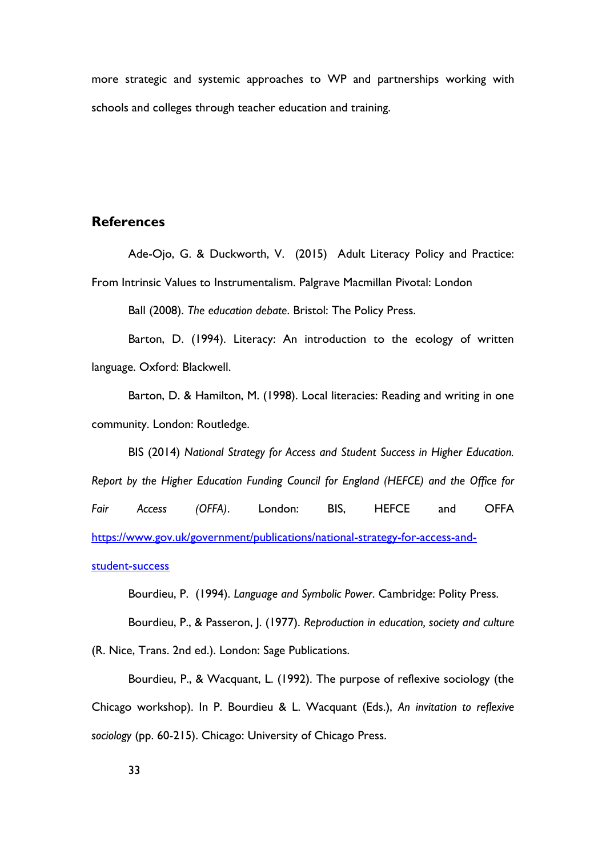more strategic and systemic approaches to WP and partnerships working with schools and colleges through teacher education and training.

## **References**

Ade-Ojo, G. & Duckworth, V. (2015) Adult Literacy Policy and Practice: From Intrinsic Values to Instrumentalism. Palgrave Macmillan Pivotal: London

Ball (2008). *The education debate*. Bristol: The Policy Press.

Barton, D. (1994). Literacy: An introduction to the ecology of written language. Oxford: Blackwell.

Barton, D. & Hamilton, M. (1998). Local literacies: Reading and writing in one community. London: Routledge.

BIS (2014) *National Strategy for Access and Student Success in Higher Education. Report by the Higher Education Funding Council for England (HEFCE) and the Office for Fair Access (OFFA)*. London: BIS, HEFCE and OFFA [https://www.gov.uk/government/publications/national-strategy-for-access-and](https://www.gov.uk/government/publications/national-strategy-for-access-and-student-success)[student-success](https://www.gov.uk/government/publications/national-strategy-for-access-and-student-success)

Bourdieu, P. (1994). *Language and Symbolic Power*. Cambridge: Polity Press.

Bourdieu, P., & Passeron, J. (1977). *Reproduction in education, society and culture* (R. Nice, Trans. 2nd ed.). London: Sage Publications.

Bourdieu, P., & Wacquant, L. (1992). The purpose of reflexive sociology (the Chicago workshop). In P. Bourdieu & L. Wacquant (Eds.), *An invitation to reflexive sociology* (pp. 60-215). Chicago: University of Chicago Press.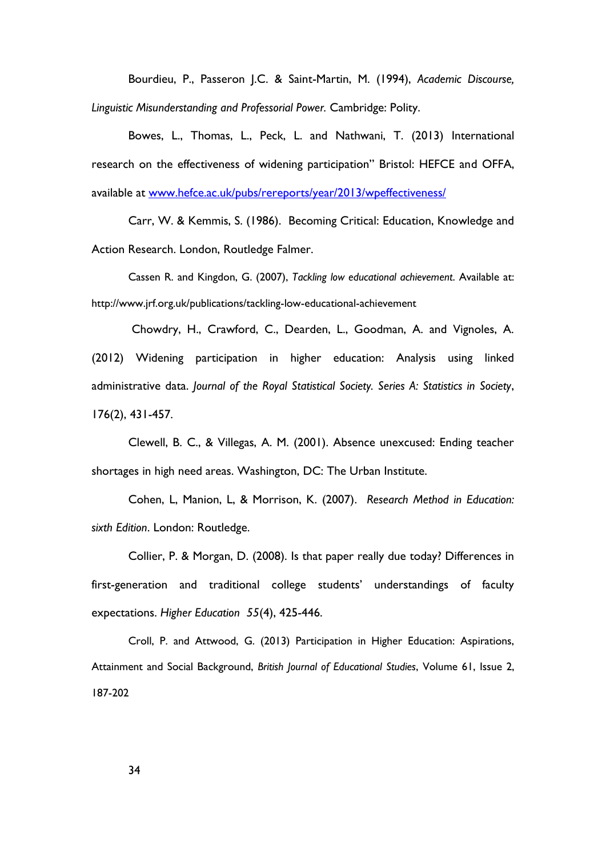Bourdieu, P., Passeron J.C. & Saint-Martin, M. (1994), *Academic Discourse, Linguistic Misunderstanding and Professorial Power.* Cambridge: Polity.

Bowes, L., Thomas, L., Peck, L. and Nathwani, T. (2013) International research on the effectiveness of widening participation" Bristol: HEFCE and OFFA, available at [www.hefce.ac.uk/pubs/rereports/year/2013/wpeffectiveness/](http://www.hefce.ac.uk/pubs/rereports/year/2013/wpeffectiveness/)

Carr, W. & Kemmis, S. (1986). Becoming Critical: Education, Knowledge and Action Research. London, Routledge Falmer.

Cassen R. and Kingdon, G. (2007), *Tackling low educational achievement*. Available at: http://www.jrf.org.uk/publications/tackling-low-educational-achievement

Chowdry, H., Crawford, C., Dearden, L., Goodman, A. and Vignoles, A. (2012) Widening participation in higher education: Analysis using linked administrative data. *Journal of the Royal Statistical Society. Series A: Statistics in Society*, 176(2), 431-457.

Clewell, B. C., & Villegas, A. M. (2001). Absence unexcused: Ending teacher shortages in high need areas. Washington, DC: The Urban Institute.

Cohen, L, Manion, L, & Morrison, K. (2007). *Research Method in Education: sixth Edition*. London: Routledge.

Collier, P. & Morgan, D. (2008). Is that paper really due today? Differences in first-generation and traditional college students' understandings of faculty expectations. *Higher Education 55*(4), 425-446.

Croll, P. and Attwood, G. (2013) Participation in Higher Education: Aspirations, Attainment and Social Background, *British Journal of Educational Studies*, Volume 61, Issue 2, 187-202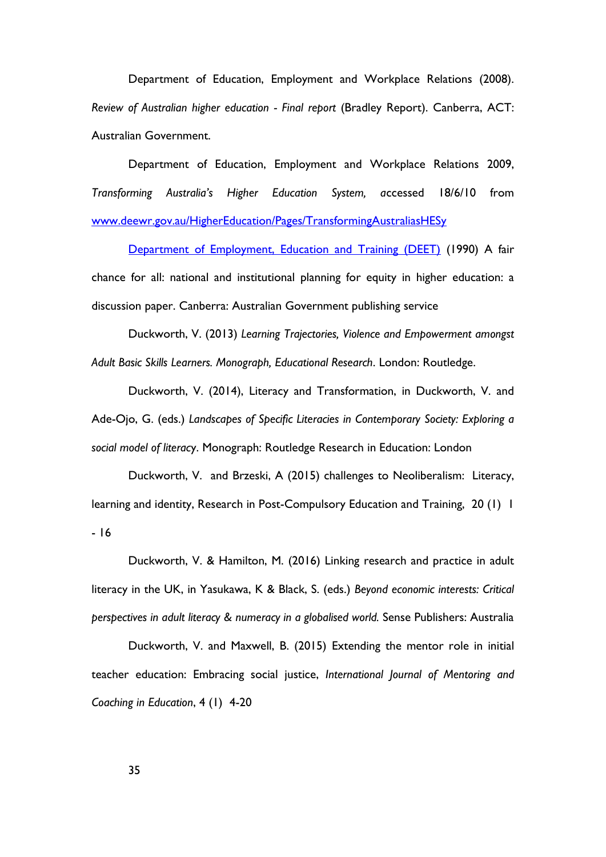Department of Education, Employment and Workplace Relations (2008). *Review of Australian higher education - Final report* (Bradley Report). Canberra, ACT: Australian Government.

Department of Education, Employment and Workplace Relations 2009, *Transforming Australia's Higher Education System, a*ccessed 18/6/10 from [www.deewr.gov.au/HigherEducation/Pages/TransformingAustraliasHESy](http://www.deewr.gov.au/HigherEducation/Pages/TransformingAustraliasHESy) 

[Department of Employment, Education and Training \(DEET\)](http://www.voced.edu.au/search/site/all_corpauthors%3A%22Australia.%20Department%20of%20Employment%2C%20Education%20and%20Training%20%28DEET%29%22) (1990) A fair chance for all: national and institutional planning for equity in higher education: a discussion paper. Canberra: Australian Government publishing service

Duckworth, V. (2013) *Learning Trajectories, Violence and Empowerment amongst Adult Basic Skills Learners. Monograph, Educational Research*. London: Routledge.

Duckworth, V. (2014), Literacy and Transformation, in Duckworth, V. and Ade-Ojo, G. (eds.) *Landscapes of Specific Literacies in Contemporary Society: Exploring a social model of literac*y. Monograph: Routledge Research in Education: London

Duckworth, V. and Brzeski, A (2015) challenges to Neoliberalism: Literacy, learning and identity, Research in Post-Compulsory Education and Training, 20 (1) 1 - 16

Duckworth, V. & Hamilton, M. (2016) Linking research and practice in adult literacy in the UK, in Yasukawa, K & Black, S. (eds.) *Beyond economic interests: Critical perspectives in adult literacy & numeracy in a globalised world.* Sense Publishers: Australia

Duckworth, V. and Maxwell, B. (2015) Extending the mentor role in initial teacher education: Embracing social justice, *International Journal of Mentoring and Coaching in Education*, 4 (1) 4-20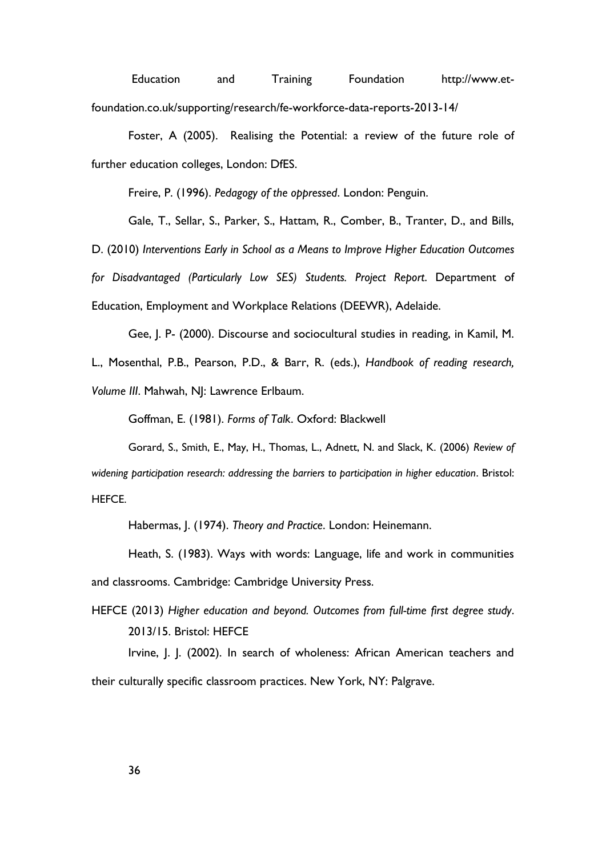Education and Training Foundation http://www.etfoundation.co.uk/supporting/research/fe-workforce-data-reports-2013-14/

Foster, A (2005). Realising the Potential: a review of the future role of further education colleges, London: DfES.

Freire, P. (1996). *Pedagogy of the oppressed*. London: Penguin.

[Gale, T.,](http://eprints.gla.ac.uk/view/author/34620.html) Sellar, S., Parker, S., Hattam, R., Comber, B., Tranter, D., and Bills, D. (2010) *[Interventions Early in School as a Means to Improve Higher Education Outcomes](http://eprints.gla.ac.uk/110207/)  [for Disadvantaged \(Particularly Low SES\) Students.](http://eprints.gla.ac.uk/110207/) Project Report*. Department of Education, Employment and Workplace Relations (DEEWR), Adelaide.

Gee, J. P- (2000). Discourse and sociocultural studies in reading, in Kamil, M. L., Mosenthal, P.B., Pearson, P.D., & Barr, R. (eds.), *Handbook of reading research, Volume III*. Mahwah, NJ: Lawrence Erlbaum.

Goffman, E. (1981). *Forms of Talk*. Oxford: Blackwell

Gorard, S., Smith, E., May, H., Thomas, L., Adnett, N. and Slack, K. (2006) *Review of widening participation research: addressing the barriers to participation in higher education*. Bristol: HEFCE.

Habermas, J. (1974). *Theory and Practice*. London: Heinemann.

Heath, S. (1983). Ways with words: Language, life and work in communities and classrooms. Cambridge: Cambridge University Press.

HEFCE (2013) *Higher education and beyond. Outcomes from full-time first degree study*. 2013/15. Bristol: HEFCE

Irvine, J. J. (2002). In search of wholeness: African American teachers and their culturally specific classroom practices. New York, NY: Palgrave.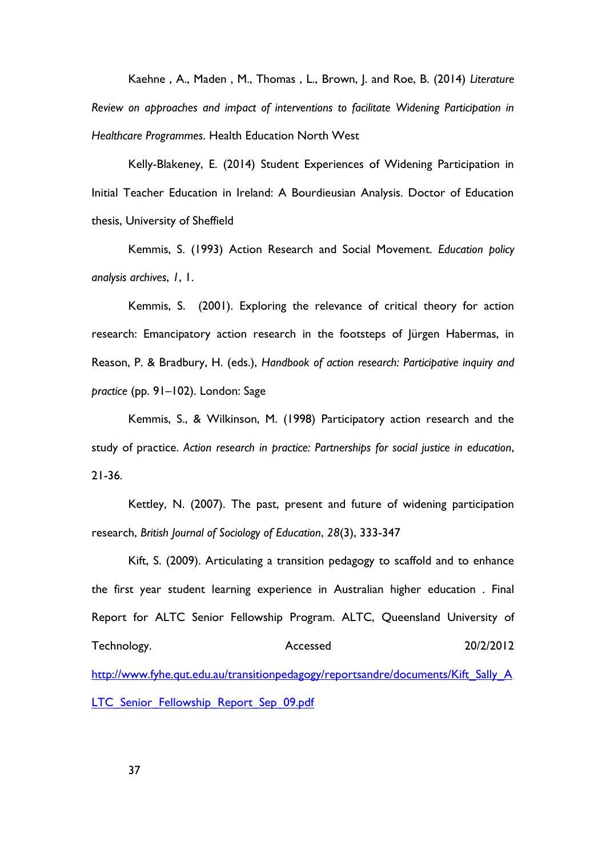Kaehne , A., Maden , M., Thomas , L., Brown, J. and Roe, B. (2014) *Literature Review on approaches and impact of interventions to facilitate Widening Participation in Healthcare Programmes*. Health Education North West

Kelly-Blakeney, E. (2014) Student Experiences of Widening Participation in Initial Teacher Education in Ireland: A Bourdieusian Analysis. Doctor of Education thesis, University of Sheffield

Kemmis, S. (1993) Action Research and Social Movement. *Education policy analysis archives*, *1*, 1.

Kemmis, S. (2001). Exploring the relevance of critical theory for action research: Emancipatory action research in the footsteps of Jürgen Habermas, in Reason, P. & Bradbury, H. (eds.), *Handbook of action research: Participative inquiry and practice* (pp. 91–102). London: Sage

Kemmis, S., & Wilkinson, M. (1998) Participatory action research and the study of practice. *Action research in practice: Partnerships for social justice in education*, 21-36.

Kettley, N. (2007). The past, present and future of widening participation research, *British Journal of Sociology of Education*, *28*(3), 333-347

Kift, S. (2009). Articulating a transition pedagogy to scaffold and to enhance the first year student learning experience in Australian higher education . Final Report for ALTC Senior Fellowship Program. ALTC, Queensland University of Technology. Accessed 20/2/2012 [http://www.fyhe.qut.edu.au/transitionpedagogy/reportsandre/documents/Kift\\_Sally\\_A](http://www.fyhe.qut.edu.au/transitionpedagogy/reportsandre/documents/Kift_Sally_ALTC_Senior_Fellowship_Report_Sep_09.pdf) LTC Senior Fellowship Report Sep 09.pdf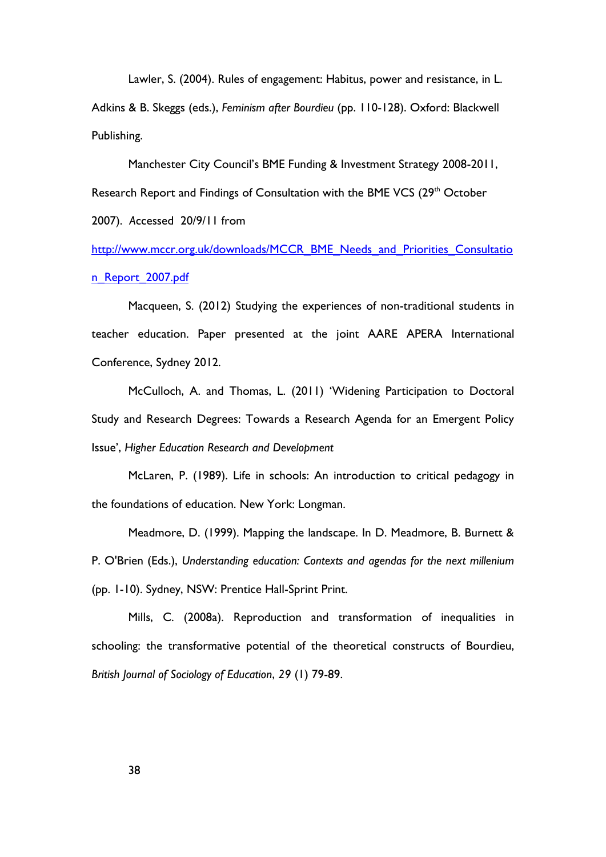Lawler, S. (2004). Rules of engagement: Habitus, power and resistance, in L.

Adkins & B. Skeggs (eds.), *Feminism after Bourdieu* (pp. 110-128). Oxford: Blackwell Publishing.

Manchester City Council's BME Funding & Investment Strategy 2008-2011, Research Report and Findings of Consultation with the BME VCS (29<sup>th</sup> October 2007). *A*ccessed 20/9/11 from

[http://www.mccr.org.uk/downloads/MCCR\\_BME\\_Needs\\_and\\_Priorities\\_Consultatio](http://www.mccr.org.uk/downloads/MCCR_BME_Needs_and_Priorities_Consultation_Report_2007.pdf) [n\\_Report\\_2007.pdf](http://www.mccr.org.uk/downloads/MCCR_BME_Needs_and_Priorities_Consultation_Report_2007.pdf)

Macqueen, S. (2012) Studying the experiences of non-traditional students in teacher education. Paper presented at the joint AARE APERA International Conference, Sydney 2012.

McCulloch, A. and Thomas, L. (2011) 'Widening Participation to Doctoral Study and Research Degrees: Towards a Research Agenda for an Emergent Policy Issue', *Higher Education Research and Development*

McLaren, P. (1989). Life in schools: An introduction to critical pedagogy in the foundations of education. New York: Longman.

Meadmore, D. (1999). Mapping the landscape. In D. Meadmore, B. Burnett & P. O'Brien (Eds.), *Understanding education: Contexts and agendas for the next millenium* (pp. 1-10). Sydney, NSW: Prentice Hall-Sprint Print.

Mills, C. (2008a). Reproduction and transformation of inequalities in schooling: the transformative potential of the theoretical constructs of Bourdieu, *British Journal of Sociology of Education*, *29* (1) 79-89.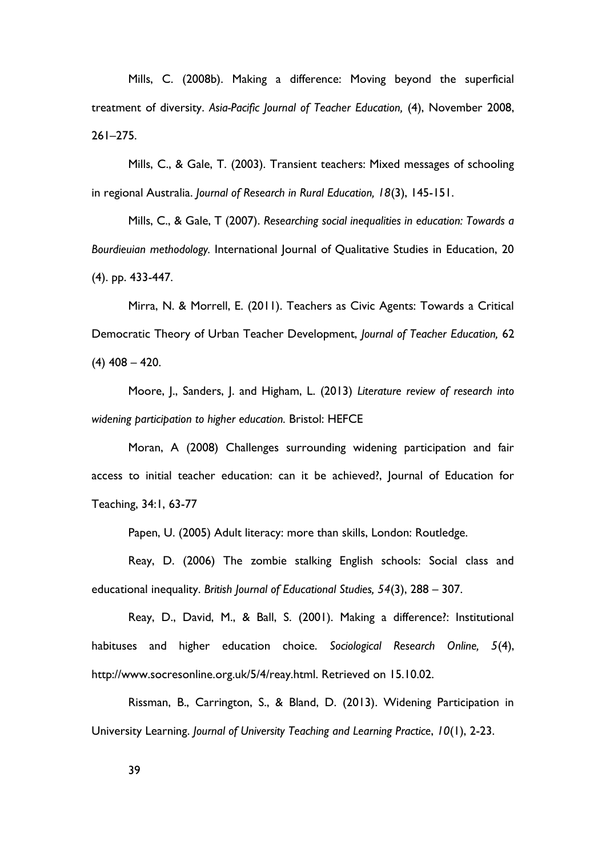Mills, C. (2008b). Making a difference: Moving beyond the superficial treatment of diversity. *Asia-Pacific Journal of Teacher Education,* (4), November 2008, 261–275.

Mills, C., & Gale, T. (2003). Transient teachers: Mixed messages of schooling in regional Australia. *Journal of Research in Rural Education, 18*(3), 145-151.

Mills, C., & Gale, T (2007). *Researching social inequalities in education: Towards a Bourdieuian methodology.* International Journal of Qualitative Studies in Education, 20 (4). pp. 433-447.

Mirra, N. & Morrell, E. (2011). Teachers as Civic Agents: Towards a Critical Democratic Theory of Urban Teacher Development, *Journal of Teacher Education,* 62 (4) 408 – 420.

Moore, J., Sanders, J. and Higham, L. (2013) *Literature review of research into widening participation to higher education.* Bristol: HEFCE

Moran, A (2008) Challenges surrounding widening participation and fair access to initial teacher education: can it be achieved?, Journal of Education for Teaching, 34:1, 63-77

Papen, U. (2005) Adult literacy: more than skills, London: Routledge.

Reay, D. (2006) The zombie stalking English schools: Social class and educational inequality. *British Journal of Educational Studies, 54*(3), 288 – 307.

Reay, D., David, M., & Ball, S. (2001). Making a difference?: Institutional habituses and higher education choice. *Sociological Research Online, 5*(4), http://www.socresonline.org.uk/5/4/reay.html. Retrieved on 15.10.02.

Rissman, B., Carrington, S., & Bland, D. (2013). Widening Participation in University Learning. *Journal of University Teaching and Learning Practice*, *10*(1), 2-23.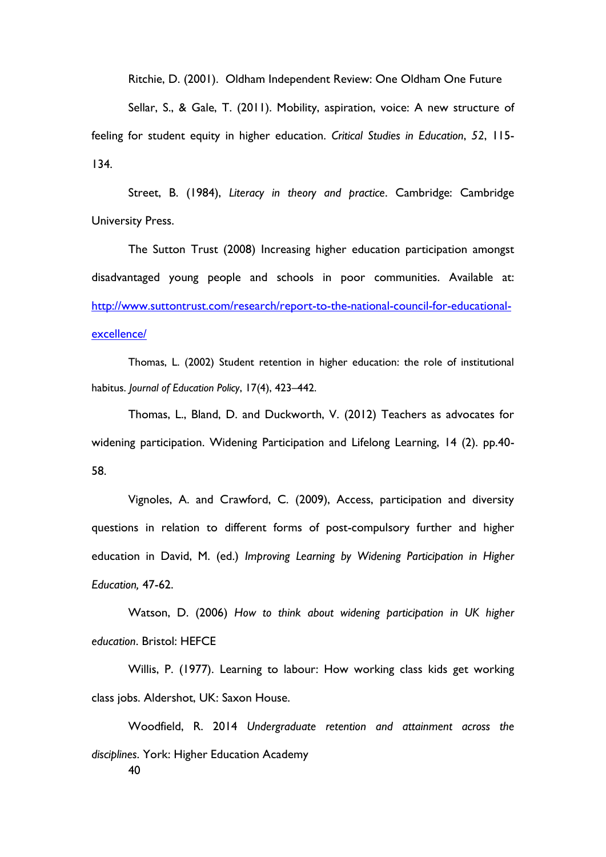Ritchie, D. (2001). Oldham Independent Review: One Oldham One Future

Sellar, S., & Gale, T. (2011). Mobility, aspiration, voice: A new structure of feeling for student equity in higher education. *Critical Studies in Education*, *52*, 115- 134.

Street, B. (1984), *Literacy in theory and practice*. Cambridge: Cambridge University Press.

The Sutton Trust (2008) Increasing higher education participation amongst disadvantaged young people and schools in poor communities. Available at: [http://www.suttontrust.com/research/report-to-the-national-council-for-educational](http://www.suttontrust.com/research/report-to-the-national-council-for-educational-excellence/)[excellence/](http://www.suttontrust.com/research/report-to-the-national-council-for-educational-excellence/)

Thomas, L. (2002) Student retention in higher education: the role of institutional habitus. *Journal of Education Policy*, 17(4), 423–442.

Thomas, L., Bland, D. and Duckworth, V. (2012) Teachers as advocates for widening participation. Widening Participation and Lifelong Learning, 14 (2). pp.40- 58.

Vignoles, A. and Crawford, C. (2009), Access, participation and diversity questions in relation to different forms of post-compulsory further and higher education in David, M. (ed.) *Improving Learning by Widening Participation in Higher Education,* 47-62.

Watson, D. (2006) *How to think about widening participation in UK higher education*. Bristol: HEFCE

Willis, P. (1977). Learning to labour: How working class kids get working class jobs. Aldershot, UK: Saxon House.

40 Woodfield, R. 2014 *Undergraduate retention and attainment across the disciplines*. York: Higher Education Academy